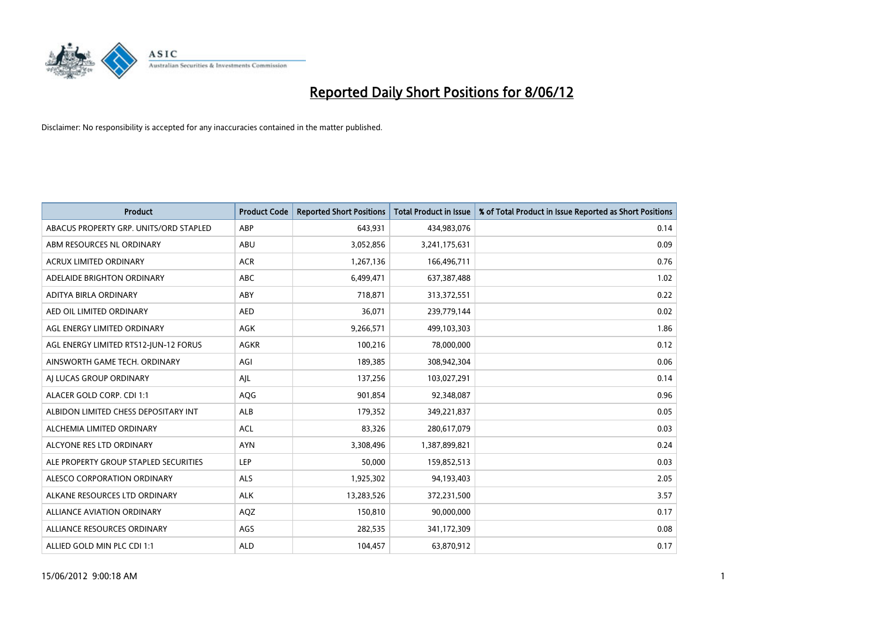

| <b>Product</b>                         | <b>Product Code</b> | <b>Reported Short Positions</b> | <b>Total Product in Issue</b> | % of Total Product in Issue Reported as Short Positions |
|----------------------------------------|---------------------|---------------------------------|-------------------------------|---------------------------------------------------------|
| ABACUS PROPERTY GRP. UNITS/ORD STAPLED | ABP                 | 643,931                         | 434,983,076                   | 0.14                                                    |
| ABM RESOURCES NL ORDINARY              | ABU                 | 3,052,856                       | 3,241,175,631                 | 0.09                                                    |
| <b>ACRUX LIMITED ORDINARY</b>          | <b>ACR</b>          | 1,267,136                       | 166,496,711                   | 0.76                                                    |
| ADELAIDE BRIGHTON ORDINARY             | <b>ABC</b>          | 6,499,471                       | 637,387,488                   | 1.02                                                    |
| ADITYA BIRLA ORDINARY                  | ABY                 | 718,871                         | 313,372,551                   | 0.22                                                    |
| AED OIL LIMITED ORDINARY               | <b>AED</b>          | 36,071                          | 239,779,144                   | 0.02                                                    |
| AGL ENERGY LIMITED ORDINARY            | AGK                 | 9,266,571                       | 499,103,303                   | 1.86                                                    |
| AGL ENERGY LIMITED RTS12-JUN-12 FORUS  | <b>AGKR</b>         | 100,216                         | 78,000,000                    | 0.12                                                    |
| AINSWORTH GAME TECH. ORDINARY          | AGI                 | 189,385                         | 308,942,304                   | 0.06                                                    |
| AI LUCAS GROUP ORDINARY                | AJL                 | 137,256                         | 103,027,291                   | 0.14                                                    |
| ALACER GOLD CORP. CDI 1:1              | AQG                 | 901,854                         | 92,348,087                    | 0.96                                                    |
| ALBIDON LIMITED CHESS DEPOSITARY INT   | ALB                 | 179,352                         | 349,221,837                   | 0.05                                                    |
| ALCHEMIA LIMITED ORDINARY              | <b>ACL</b>          | 83,326                          | 280,617,079                   | 0.03                                                    |
| ALCYONE RES LTD ORDINARY               | <b>AYN</b>          | 3,308,496                       | 1,387,899,821                 | 0.24                                                    |
| ALE PROPERTY GROUP STAPLED SECURITIES  | <b>LEP</b>          | 50,000                          | 159,852,513                   | 0.03                                                    |
| ALESCO CORPORATION ORDINARY            | ALS                 | 1,925,302                       | 94,193,403                    | 2.05                                                    |
| ALKANE RESOURCES LTD ORDINARY          | <b>ALK</b>          | 13,283,526                      | 372,231,500                   | 3.57                                                    |
| <b>ALLIANCE AVIATION ORDINARY</b>      | AQZ                 | 150,810                         | 90,000,000                    | 0.17                                                    |
| ALLIANCE RESOURCES ORDINARY            | AGS                 | 282,535                         | 341,172,309                   | 0.08                                                    |
| ALLIED GOLD MIN PLC CDI 1:1            | <b>ALD</b>          | 104,457                         | 63,870,912                    | 0.17                                                    |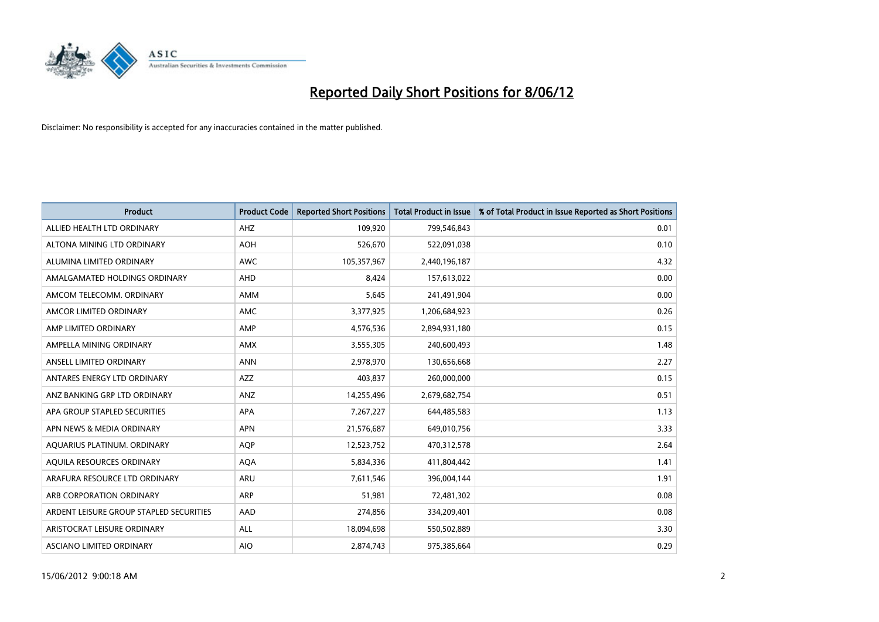

| <b>Product</b>                          | <b>Product Code</b> | <b>Reported Short Positions</b> | <b>Total Product in Issue</b> | % of Total Product in Issue Reported as Short Positions |
|-----------------------------------------|---------------------|---------------------------------|-------------------------------|---------------------------------------------------------|
| ALLIED HEALTH LTD ORDINARY              | AHZ                 | 109,920                         | 799,546,843                   | 0.01                                                    |
| ALTONA MINING LTD ORDINARY              | <b>AOH</b>          | 526,670                         | 522,091,038                   | 0.10                                                    |
| ALUMINA LIMITED ORDINARY                | <b>AWC</b>          | 105,357,967                     | 2,440,196,187                 | 4.32                                                    |
| AMALGAMATED HOLDINGS ORDINARY           | <b>AHD</b>          | 8,424                           | 157,613,022                   | 0.00                                                    |
| AMCOM TELECOMM, ORDINARY                | AMM                 | 5,645                           | 241,491,904                   | 0.00                                                    |
| AMCOR LIMITED ORDINARY                  | AMC                 | 3,377,925                       | 1,206,684,923                 | 0.26                                                    |
| AMP LIMITED ORDINARY                    | AMP                 | 4,576,536                       | 2,894,931,180                 | 0.15                                                    |
| AMPELLA MINING ORDINARY                 | AMX                 | 3,555,305                       | 240,600,493                   | 1.48                                                    |
| ANSELL LIMITED ORDINARY                 | <b>ANN</b>          | 2,978,970                       | 130,656,668                   | 2.27                                                    |
| ANTARES ENERGY LTD ORDINARY             | AZZ                 | 403,837                         | 260,000,000                   | 0.15                                                    |
| ANZ BANKING GRP LTD ORDINARY            | ANZ                 | 14,255,496                      | 2,679,682,754                 | 0.51                                                    |
| APA GROUP STAPLED SECURITIES            | APA                 | 7,267,227                       | 644,485,583                   | 1.13                                                    |
| APN NEWS & MEDIA ORDINARY               | <b>APN</b>          | 21,576,687                      | 649,010,756                   | 3.33                                                    |
| AQUARIUS PLATINUM. ORDINARY             | <b>AOP</b>          | 12,523,752                      | 470,312,578                   | 2.64                                                    |
| AQUILA RESOURCES ORDINARY               | <b>AQA</b>          | 5,834,336                       | 411,804,442                   | 1.41                                                    |
| ARAFURA RESOURCE LTD ORDINARY           | ARU                 | 7,611,546                       | 396,004,144                   | 1.91                                                    |
| ARB CORPORATION ORDINARY                | ARP                 | 51,981                          | 72,481,302                    | 0.08                                                    |
| ARDENT LEISURE GROUP STAPLED SECURITIES | AAD                 | 274,856                         | 334,209,401                   | 0.08                                                    |
| ARISTOCRAT LEISURE ORDINARY             | ALL                 | 18,094,698                      | 550,502,889                   | 3.30                                                    |
| ASCIANO LIMITED ORDINARY                | <b>AIO</b>          | 2,874,743                       | 975,385,664                   | 0.29                                                    |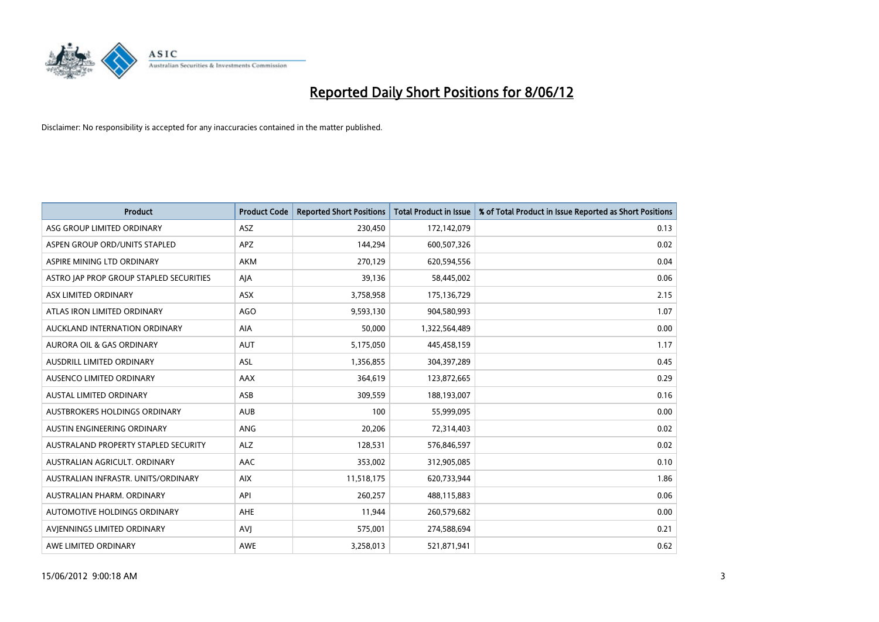

| <b>Product</b>                          | <b>Product Code</b> | <b>Reported Short Positions</b> | <b>Total Product in Issue</b> | % of Total Product in Issue Reported as Short Positions |
|-----------------------------------------|---------------------|---------------------------------|-------------------------------|---------------------------------------------------------|
| ASG GROUP LIMITED ORDINARY              | <b>ASZ</b>          | 230,450                         | 172,142,079                   | 0.13                                                    |
| ASPEN GROUP ORD/UNITS STAPLED           | APZ                 | 144,294                         | 600,507,326                   | 0.02                                                    |
| ASPIRE MINING LTD ORDINARY              | <b>AKM</b>          | 270,129                         | 620,594,556                   | 0.04                                                    |
| ASTRO JAP PROP GROUP STAPLED SECURITIES | AJA                 | 39,136                          | 58,445,002                    | 0.06                                                    |
| ASX LIMITED ORDINARY                    | ASX                 | 3,758,958                       | 175,136,729                   | 2.15                                                    |
| ATLAS IRON LIMITED ORDINARY             | <b>AGO</b>          | 9,593,130                       | 904,580,993                   | 1.07                                                    |
| AUCKLAND INTERNATION ORDINARY           | AIA                 | 50,000                          | 1,322,564,489                 | 0.00                                                    |
| AURORA OIL & GAS ORDINARY               | AUT                 | 5,175,050                       | 445,458,159                   | 1.17                                                    |
| AUSDRILL LIMITED ORDINARY               | <b>ASL</b>          | 1,356,855                       | 304,397,289                   | 0.45                                                    |
| AUSENCO LIMITED ORDINARY                | AAX                 | 364,619                         | 123,872,665                   | 0.29                                                    |
| AUSTAL LIMITED ORDINARY                 | ASB                 | 309,559                         | 188,193,007                   | 0.16                                                    |
| <b>AUSTBROKERS HOLDINGS ORDINARY</b>    | <b>AUB</b>          | 100                             | 55,999,095                    | 0.00                                                    |
| AUSTIN ENGINEERING ORDINARY             | ANG                 | 20,206                          | 72,314,403                    | 0.02                                                    |
| AUSTRALAND PROPERTY STAPLED SECURITY    | <b>ALZ</b>          | 128,531                         | 576,846,597                   | 0.02                                                    |
| AUSTRALIAN AGRICULT, ORDINARY           | <b>AAC</b>          | 353,002                         | 312,905,085                   | 0.10                                                    |
| AUSTRALIAN INFRASTR. UNITS/ORDINARY     | <b>AIX</b>          | 11,518,175                      | 620,733,944                   | 1.86                                                    |
| AUSTRALIAN PHARM. ORDINARY              | API                 | 260,257                         | 488,115,883                   | 0.06                                                    |
| AUTOMOTIVE HOLDINGS ORDINARY            | <b>AHE</b>          | 11,944                          | 260,579,682                   | 0.00                                                    |
| AVIENNINGS LIMITED ORDINARY             | <b>AVI</b>          | 575,001                         | 274,588,694                   | 0.21                                                    |
| AWE LIMITED ORDINARY                    | AWE                 | 3,258,013                       | 521,871,941                   | 0.62                                                    |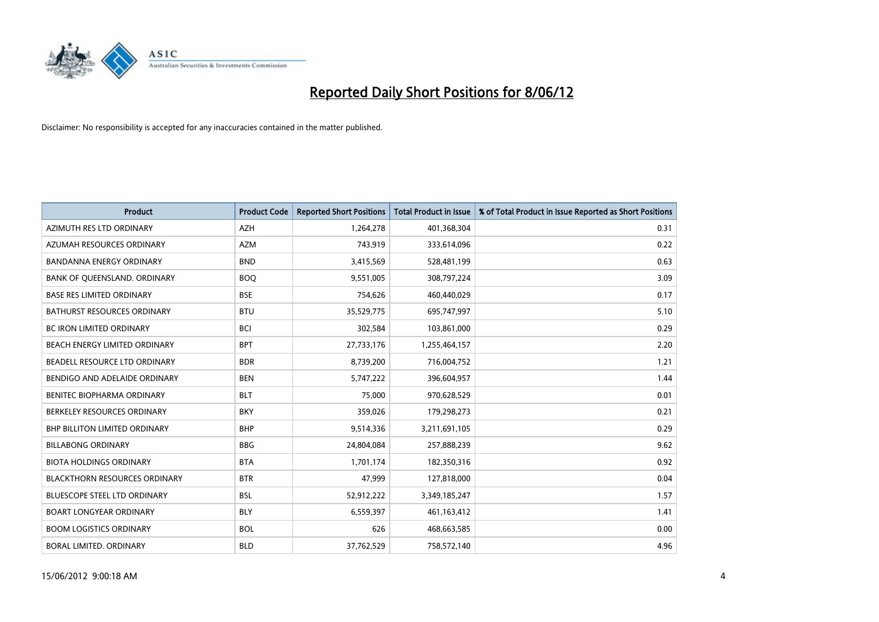

| <b>Product</b>                       | <b>Product Code</b> | <b>Reported Short Positions</b> | <b>Total Product in Issue</b> | % of Total Product in Issue Reported as Short Positions |
|--------------------------------------|---------------------|---------------------------------|-------------------------------|---------------------------------------------------------|
| AZIMUTH RES LTD ORDINARY             | <b>AZH</b>          | 1,264,278                       | 401,368,304                   | 0.31                                                    |
| AZUMAH RESOURCES ORDINARY            | <b>AZM</b>          | 743,919                         | 333,614,096                   | 0.22                                                    |
| <b>BANDANNA ENERGY ORDINARY</b>      | <b>BND</b>          | 3,415,569                       | 528,481,199                   | 0.63                                                    |
| BANK OF QUEENSLAND. ORDINARY         | <b>BOQ</b>          | 9,551,005                       | 308,797,224                   | 3.09                                                    |
| <b>BASE RES LIMITED ORDINARY</b>     | <b>BSE</b>          | 754,626                         | 460,440,029                   | 0.17                                                    |
| <b>BATHURST RESOURCES ORDINARY</b>   | <b>BTU</b>          | 35,529,775                      | 695,747,997                   | 5.10                                                    |
| <b>BC IRON LIMITED ORDINARY</b>      | <b>BCI</b>          | 302,584                         | 103,861,000                   | 0.29                                                    |
| BEACH ENERGY LIMITED ORDINARY        | <b>BPT</b>          | 27,733,176                      | 1,255,464,157                 | 2.20                                                    |
| BEADELL RESOURCE LTD ORDINARY        | <b>BDR</b>          | 8,739,200                       | 716,004,752                   | 1.21                                                    |
| BENDIGO AND ADELAIDE ORDINARY        | <b>BEN</b>          | 5,747,222                       | 396,604,957                   | 1.44                                                    |
| BENITEC BIOPHARMA ORDINARY           | <b>BLT</b>          | 75,000                          | 970,628,529                   | 0.01                                                    |
| BERKELEY RESOURCES ORDINARY          | <b>BKY</b>          | 359,026                         | 179,298,273                   | 0.21                                                    |
| <b>BHP BILLITON LIMITED ORDINARY</b> | <b>BHP</b>          | 9,514,336                       | 3,211,691,105                 | 0.29                                                    |
| <b>BILLABONG ORDINARY</b>            | <b>BBG</b>          | 24,804,084                      | 257,888,239                   | 9.62                                                    |
| <b>BIOTA HOLDINGS ORDINARY</b>       | <b>BTA</b>          | 1,701,174                       | 182,350,316                   | 0.92                                                    |
| <b>BLACKTHORN RESOURCES ORDINARY</b> | <b>BTR</b>          | 47,999                          | 127,818,000                   | 0.04                                                    |
| BLUESCOPE STEEL LTD ORDINARY         | <b>BSL</b>          | 52,912,222                      | 3,349,185,247                 | 1.57                                                    |
| <b>BOART LONGYEAR ORDINARY</b>       | <b>BLY</b>          | 6,559,397                       | 461,163,412                   | 1.41                                                    |
| <b>BOOM LOGISTICS ORDINARY</b>       | <b>BOL</b>          | 626                             | 468,663,585                   | 0.00                                                    |
| BORAL LIMITED. ORDINARY              | <b>BLD</b>          | 37,762,529                      | 758,572,140                   | 4.96                                                    |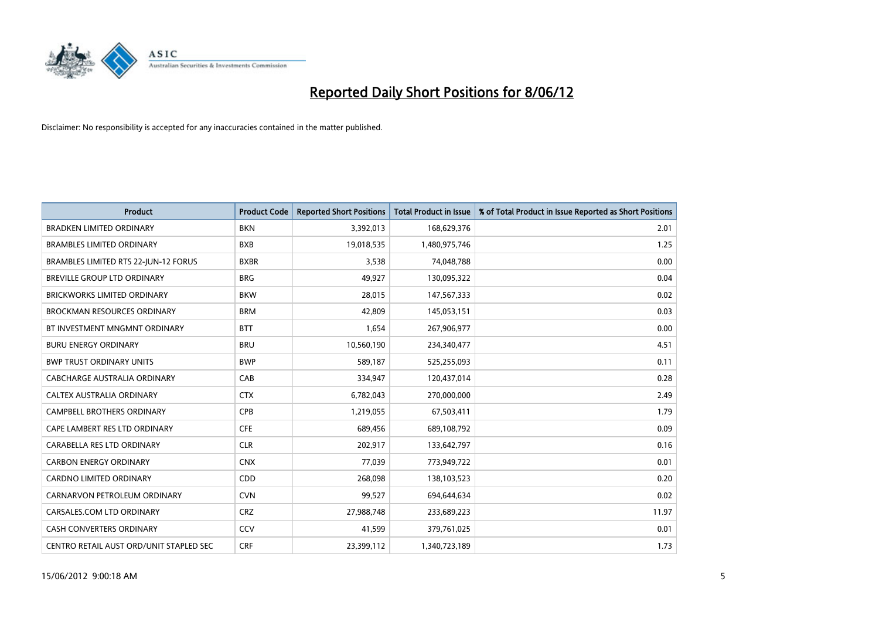

| <b>Product</b>                          | <b>Product Code</b> | <b>Reported Short Positions</b> | <b>Total Product in Issue</b> | % of Total Product in Issue Reported as Short Positions |
|-----------------------------------------|---------------------|---------------------------------|-------------------------------|---------------------------------------------------------|
| <b>BRADKEN LIMITED ORDINARY</b>         | <b>BKN</b>          | 3,392,013                       | 168,629,376                   | 2.01                                                    |
| <b>BRAMBLES LIMITED ORDINARY</b>        | <b>BXB</b>          | 19,018,535                      | 1,480,975,746                 | 1.25                                                    |
| BRAMBLES LIMITED RTS 22-JUN-12 FORUS    | <b>BXBR</b>         | 3,538                           | 74,048,788                    | 0.00                                                    |
| BREVILLE GROUP LTD ORDINARY             | <b>BRG</b>          | 49,927                          | 130,095,322                   | 0.04                                                    |
| <b>BRICKWORKS LIMITED ORDINARY</b>      | <b>BKW</b>          | 28,015                          | 147,567,333                   | 0.02                                                    |
| <b>BROCKMAN RESOURCES ORDINARY</b>      | <b>BRM</b>          | 42,809                          | 145,053,151                   | 0.03                                                    |
| BT INVESTMENT MNGMNT ORDINARY           | <b>BTT</b>          | 1,654                           | 267,906,977                   | 0.00                                                    |
| <b>BURU ENERGY ORDINARY</b>             | <b>BRU</b>          | 10,560,190                      | 234,340,477                   | 4.51                                                    |
| <b>BWP TRUST ORDINARY UNITS</b>         | <b>BWP</b>          | 589,187                         | 525,255,093                   | 0.11                                                    |
| <b>CABCHARGE AUSTRALIA ORDINARY</b>     | CAB                 | 334,947                         | 120,437,014                   | 0.28                                                    |
| CALTEX AUSTRALIA ORDINARY               | <b>CTX</b>          | 6,782,043                       | 270,000,000                   | 2.49                                                    |
| <b>CAMPBELL BROTHERS ORDINARY</b>       | <b>CPB</b>          | 1,219,055                       | 67,503,411                    | 1.79                                                    |
| CAPE LAMBERT RES LTD ORDINARY           | <b>CFE</b>          | 689,456                         | 689,108,792                   | 0.09                                                    |
| CARABELLA RES LTD ORDINARY              | <b>CLR</b>          | 202,917                         | 133,642,797                   | 0.16                                                    |
| <b>CARBON ENERGY ORDINARY</b>           | <b>CNX</b>          | 77,039                          | 773,949,722                   | 0.01                                                    |
| CARDNO LIMITED ORDINARY                 | CDD                 | 268,098                         | 138,103,523                   | 0.20                                                    |
| CARNARVON PETROLEUM ORDINARY            | <b>CVN</b>          | 99,527                          | 694,644,634                   | 0.02                                                    |
| CARSALES.COM LTD ORDINARY               | <b>CRZ</b>          | 27,988,748                      | 233,689,223                   | 11.97                                                   |
| <b>CASH CONVERTERS ORDINARY</b>         | CCV                 | 41,599                          | 379,761,025                   | 0.01                                                    |
| CENTRO RETAIL AUST ORD/UNIT STAPLED SEC | <b>CRF</b>          | 23,399,112                      | 1,340,723,189                 | 1.73                                                    |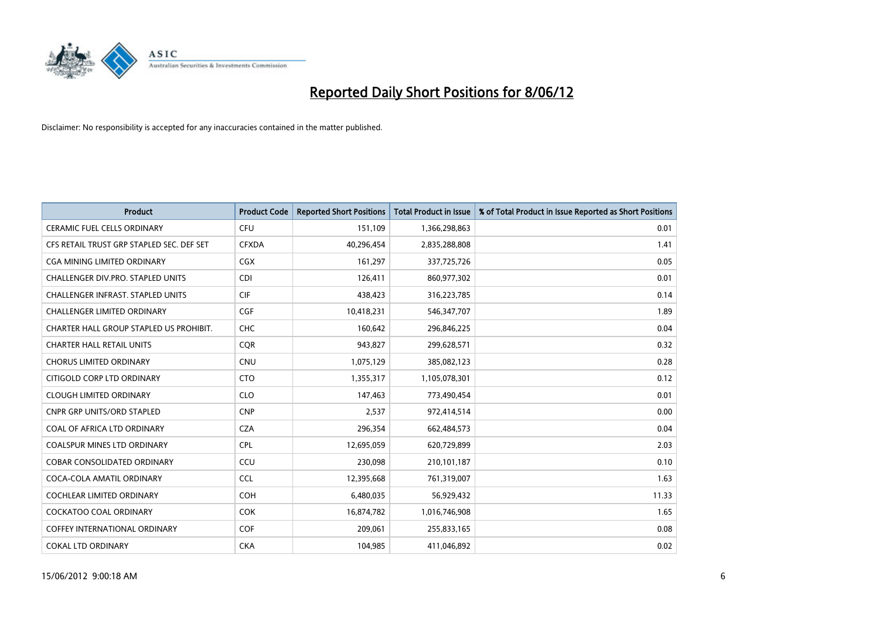

| <b>Product</b>                            | <b>Product Code</b> | <b>Reported Short Positions</b> | <b>Total Product in Issue</b> | % of Total Product in Issue Reported as Short Positions |
|-------------------------------------------|---------------------|---------------------------------|-------------------------------|---------------------------------------------------------|
| <b>CERAMIC FUEL CELLS ORDINARY</b>        | <b>CFU</b>          | 151,109                         | 1,366,298,863                 | 0.01                                                    |
| CFS RETAIL TRUST GRP STAPLED SEC. DEF SET | <b>CFXDA</b>        | 40,296,454                      | 2,835,288,808                 | 1.41                                                    |
| CGA MINING LIMITED ORDINARY               | CGX                 | 161,297                         | 337,725,726                   | 0.05                                                    |
| CHALLENGER DIV.PRO. STAPLED UNITS         | <b>CDI</b>          | 126,411                         | 860,977,302                   | 0.01                                                    |
| <b>CHALLENGER INFRAST, STAPLED UNITS</b>  | <b>CIF</b>          | 438,423                         | 316,223,785                   | 0.14                                                    |
| <b>CHALLENGER LIMITED ORDINARY</b>        | <b>CGF</b>          | 10,418,231                      | 546,347,707                   | 1.89                                                    |
| CHARTER HALL GROUP STAPLED US PROHIBIT.   | <b>CHC</b>          | 160,642                         | 296,846,225                   | 0.04                                                    |
| <b>CHARTER HALL RETAIL UNITS</b>          | <b>CQR</b>          | 943,827                         | 299,628,571                   | 0.32                                                    |
| <b>CHORUS LIMITED ORDINARY</b>            | <b>CNU</b>          | 1,075,129                       | 385,082,123                   | 0.28                                                    |
| CITIGOLD CORP LTD ORDINARY                | <b>CTO</b>          | 1,355,317                       | 1,105,078,301                 | 0.12                                                    |
| <b>CLOUGH LIMITED ORDINARY</b>            | <b>CLO</b>          | 147,463                         | 773,490,454                   | 0.01                                                    |
| CNPR GRP UNITS/ORD STAPLED                | <b>CNP</b>          | 2,537                           | 972,414,514                   | 0.00                                                    |
| COAL OF AFRICA LTD ORDINARY               | <b>CZA</b>          | 296,354                         | 662,484,573                   | 0.04                                                    |
| <b>COALSPUR MINES LTD ORDINARY</b>        | <b>CPL</b>          | 12,695,059                      | 620,729,899                   | 2.03                                                    |
| <b>COBAR CONSOLIDATED ORDINARY</b>        | CCU                 | 230,098                         | 210,101,187                   | 0.10                                                    |
| COCA-COLA AMATIL ORDINARY                 | <b>CCL</b>          | 12,395,668                      | 761,319,007                   | 1.63                                                    |
| COCHLEAR LIMITED ORDINARY                 | <b>COH</b>          | 6,480,035                       | 56,929,432                    | 11.33                                                   |
| <b>COCKATOO COAL ORDINARY</b>             | <b>COK</b>          | 16,874,782                      | 1,016,746,908                 | 1.65                                                    |
| <b>COFFEY INTERNATIONAL ORDINARY</b>      | <b>COF</b>          | 209,061                         | 255,833,165                   | 0.08                                                    |
| <b>COKAL LTD ORDINARY</b>                 | <b>CKA</b>          | 104,985                         | 411,046,892                   | 0.02                                                    |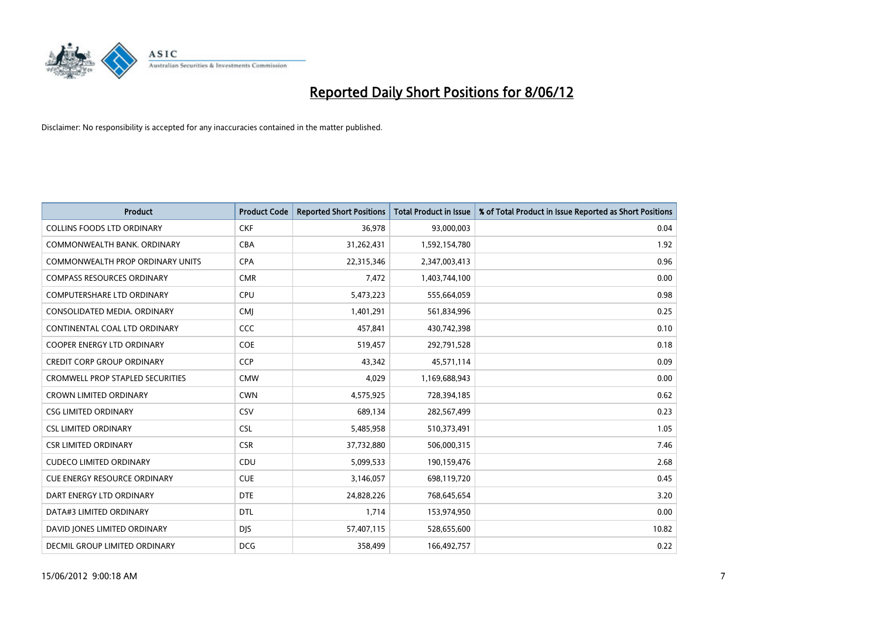

| <b>Product</b>                          | <b>Product Code</b> | <b>Reported Short Positions</b> | <b>Total Product in Issue</b> | % of Total Product in Issue Reported as Short Positions |
|-----------------------------------------|---------------------|---------------------------------|-------------------------------|---------------------------------------------------------|
| <b>COLLINS FOODS LTD ORDINARY</b>       | <b>CKF</b>          | 36,978                          | 93,000,003                    | 0.04                                                    |
| COMMONWEALTH BANK, ORDINARY             | <b>CBA</b>          | 31,262,431                      | 1,592,154,780                 | 1.92                                                    |
| <b>COMMONWEALTH PROP ORDINARY UNITS</b> | <b>CPA</b>          | 22,315,346                      | 2,347,003,413                 | 0.96                                                    |
| <b>COMPASS RESOURCES ORDINARY</b>       | <b>CMR</b>          | 7,472                           | 1,403,744,100                 | 0.00                                                    |
| <b>COMPUTERSHARE LTD ORDINARY</b>       | <b>CPU</b>          | 5,473,223                       | 555,664,059                   | 0.98                                                    |
| CONSOLIDATED MEDIA, ORDINARY            | <b>CMI</b>          | 1,401,291                       | 561,834,996                   | 0.25                                                    |
| CONTINENTAL COAL LTD ORDINARY           | CCC                 | 457,841                         | 430,742,398                   | 0.10                                                    |
| COOPER ENERGY LTD ORDINARY              | <b>COE</b>          | 519,457                         | 292,791,528                   | 0.18                                                    |
| <b>CREDIT CORP GROUP ORDINARY</b>       | CCP                 | 43,342                          | 45,571,114                    | 0.09                                                    |
| <b>CROMWELL PROP STAPLED SECURITIES</b> | <b>CMW</b>          | 4,029                           | 1,169,688,943                 | 0.00                                                    |
| <b>CROWN LIMITED ORDINARY</b>           | <b>CWN</b>          | 4,575,925                       | 728,394,185                   | 0.62                                                    |
| <b>CSG LIMITED ORDINARY</b>             | CSV                 | 689,134                         | 282,567,499                   | 0.23                                                    |
| <b>CSL LIMITED ORDINARY</b>             | <b>CSL</b>          | 5,485,958                       | 510,373,491                   | 1.05                                                    |
| <b>CSR LIMITED ORDINARY</b>             | <b>CSR</b>          | 37,732,880                      | 506,000,315                   | 7.46                                                    |
| <b>CUDECO LIMITED ORDINARY</b>          | CDU                 | 5,099,533                       | 190,159,476                   | 2.68                                                    |
| <b>CUE ENERGY RESOURCE ORDINARY</b>     | <b>CUE</b>          | 3,146,057                       | 698,119,720                   | 0.45                                                    |
| DART ENERGY LTD ORDINARY                | <b>DTE</b>          | 24,828,226                      | 768,645,654                   | 3.20                                                    |
| DATA#3 LIMITED ORDINARY                 | <b>DTL</b>          | 1,714                           | 153,974,950                   | 0.00                                                    |
| DAVID JONES LIMITED ORDINARY            | <b>DJS</b>          | 57,407,115                      | 528,655,600                   | 10.82                                                   |
| DECMIL GROUP LIMITED ORDINARY           | <b>DCG</b>          | 358,499                         | 166,492,757                   | 0.22                                                    |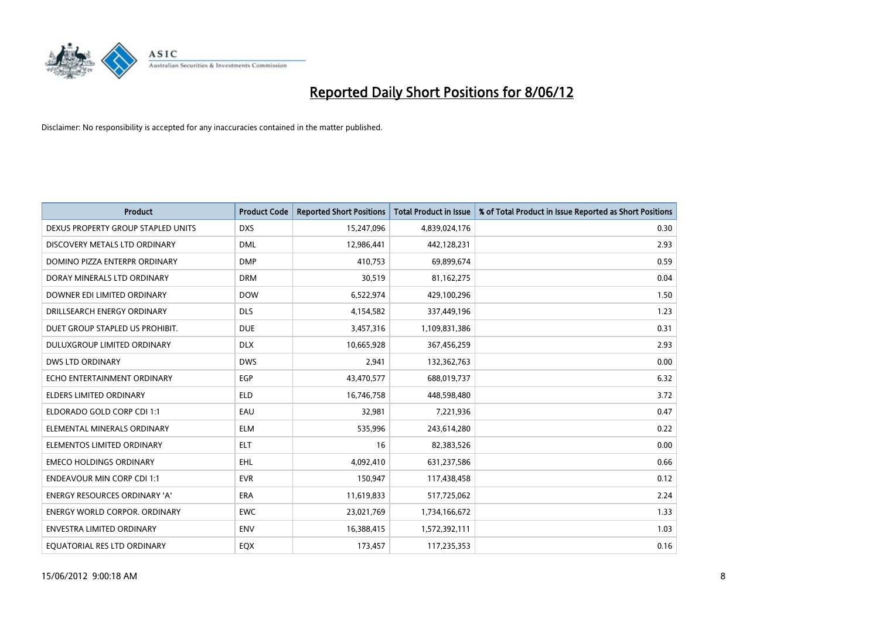

| <b>Product</b>                       | <b>Product Code</b> | <b>Reported Short Positions</b> | <b>Total Product in Issue</b> | % of Total Product in Issue Reported as Short Positions |
|--------------------------------------|---------------------|---------------------------------|-------------------------------|---------------------------------------------------------|
| DEXUS PROPERTY GROUP STAPLED UNITS   | <b>DXS</b>          | 15,247,096                      | 4,839,024,176                 | 0.30                                                    |
| DISCOVERY METALS LTD ORDINARY        | <b>DML</b>          | 12,986,441                      | 442,128,231                   | 2.93                                                    |
| DOMINO PIZZA ENTERPR ORDINARY        | <b>DMP</b>          | 410,753                         | 69,899,674                    | 0.59                                                    |
| DORAY MINERALS LTD ORDINARY          | <b>DRM</b>          | 30,519                          | 81,162,275                    | 0.04                                                    |
| DOWNER EDI LIMITED ORDINARY          | <b>DOW</b>          | 6,522,974                       | 429,100,296                   | 1.50                                                    |
| DRILLSEARCH ENERGY ORDINARY          | <b>DLS</b>          | 4,154,582                       | 337,449,196                   | 1.23                                                    |
| DUET GROUP STAPLED US PROHIBIT.      | <b>DUE</b>          | 3,457,316                       | 1,109,831,386                 | 0.31                                                    |
| DULUXGROUP LIMITED ORDINARY          | <b>DLX</b>          | 10,665,928                      | 367,456,259                   | 2.93                                                    |
| <b>DWS LTD ORDINARY</b>              | <b>DWS</b>          | 2,941                           | 132,362,763                   | 0.00                                                    |
| ECHO ENTERTAINMENT ORDINARY          | <b>EGP</b>          | 43,470,577                      | 688,019,737                   | 6.32                                                    |
| ELDERS LIMITED ORDINARY              | <b>ELD</b>          | 16,746,758                      | 448,598,480                   | 3.72                                                    |
| ELDORADO GOLD CORP CDI 1:1           | EAU                 | 32,981                          | 7,221,936                     | 0.47                                                    |
| ELEMENTAL MINERALS ORDINARY          | <b>ELM</b>          | 535,996                         | 243,614,280                   | 0.22                                                    |
| ELEMENTOS LIMITED ORDINARY           | <b>ELT</b>          | 16                              | 82,383,526                    | 0.00                                                    |
| <b>EMECO HOLDINGS ORDINARY</b>       | <b>EHL</b>          | 4,092,410                       | 631,237,586                   | 0.66                                                    |
| <b>ENDEAVOUR MIN CORP CDI 1:1</b>    | <b>EVR</b>          | 150,947                         | 117,438,458                   | 0.12                                                    |
| ENERGY RESOURCES ORDINARY 'A'        | ERA                 | 11,619,833                      | 517,725,062                   | 2.24                                                    |
| <b>ENERGY WORLD CORPOR. ORDINARY</b> | <b>EWC</b>          | 23,021,769                      | 1,734,166,672                 | 1.33                                                    |
| ENVESTRA LIMITED ORDINARY            | <b>ENV</b>          | 16,388,415                      | 1,572,392,111                 | 1.03                                                    |
| EQUATORIAL RES LTD ORDINARY          | EQX                 | 173,457                         | 117,235,353                   | 0.16                                                    |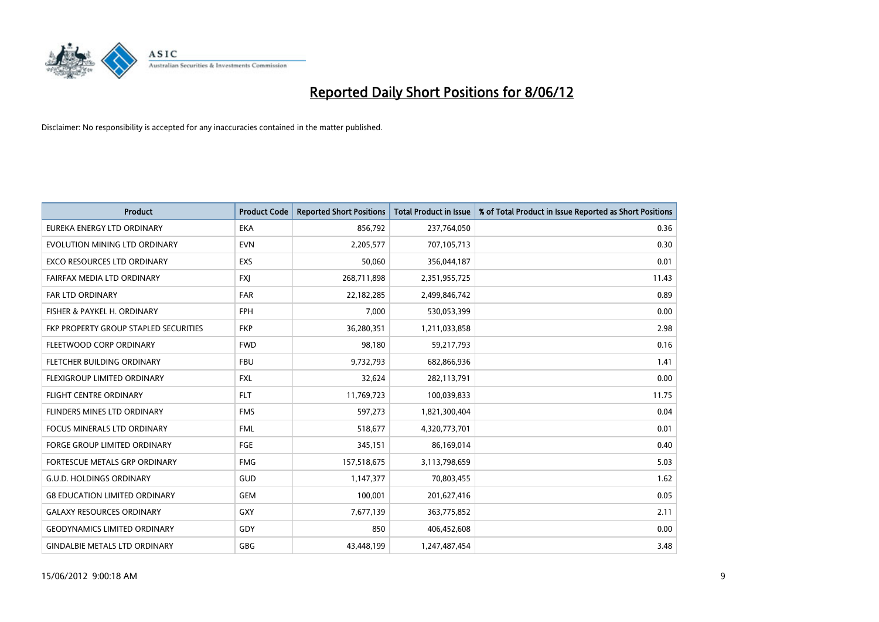

| <b>Product</b>                        | <b>Product Code</b> | <b>Reported Short Positions</b> | <b>Total Product in Issue</b> | % of Total Product in Issue Reported as Short Positions |
|---------------------------------------|---------------------|---------------------------------|-------------------------------|---------------------------------------------------------|
| EUREKA ENERGY LTD ORDINARY            | <b>EKA</b>          | 856,792                         | 237,764,050                   | 0.36                                                    |
| EVOLUTION MINING LTD ORDINARY         | <b>EVN</b>          | 2,205,577                       | 707,105,713                   | 0.30                                                    |
| <b>EXCO RESOURCES LTD ORDINARY</b>    | <b>EXS</b>          | 50,060                          | 356,044,187                   | 0.01                                                    |
| FAIRFAX MEDIA LTD ORDINARY            | FXJ                 | 268,711,898                     | 2,351,955,725                 | 11.43                                                   |
| <b>FAR LTD ORDINARY</b>               | <b>FAR</b>          | 22,182,285                      | 2,499,846,742                 | 0.89                                                    |
| FISHER & PAYKEL H. ORDINARY           | <b>FPH</b>          | 7,000                           | 530,053,399                   | 0.00                                                    |
| FKP PROPERTY GROUP STAPLED SECURITIES | <b>FKP</b>          | 36,280,351                      | 1,211,033,858                 | 2.98                                                    |
| FLEETWOOD CORP ORDINARY               | <b>FWD</b>          | 98,180                          | 59,217,793                    | 0.16                                                    |
| FLETCHER BUILDING ORDINARY            | <b>FBU</b>          | 9,732,793                       | 682,866,936                   | 1.41                                                    |
| FLEXIGROUP LIMITED ORDINARY           | <b>FXL</b>          | 32,624                          | 282,113,791                   | 0.00                                                    |
| FLIGHT CENTRE ORDINARY                | <b>FLT</b>          | 11,769,723                      | 100,039,833                   | 11.75                                                   |
| FLINDERS MINES LTD ORDINARY           | <b>FMS</b>          | 597,273                         | 1,821,300,404                 | 0.04                                                    |
| <b>FOCUS MINERALS LTD ORDINARY</b>    | <b>FML</b>          | 518,677                         | 4,320,773,701                 | 0.01                                                    |
| <b>FORGE GROUP LIMITED ORDINARY</b>   | FGE                 | 345,151                         | 86,169,014                    | 0.40                                                    |
| FORTESCUE METALS GRP ORDINARY         | <b>FMG</b>          | 157,518,675                     | 3,113,798,659                 | 5.03                                                    |
| <b>G.U.D. HOLDINGS ORDINARY</b>       | GUD                 | 1,147,377                       | 70,803,455                    | 1.62                                                    |
| <b>G8 EDUCATION LIMITED ORDINARY</b>  | <b>GEM</b>          | 100,001                         | 201,627,416                   | 0.05                                                    |
| <b>GALAXY RESOURCES ORDINARY</b>      | GXY                 | 7,677,139                       | 363,775,852                   | 2.11                                                    |
| <b>GEODYNAMICS LIMITED ORDINARY</b>   | GDY                 | 850                             | 406,452,608                   | 0.00                                                    |
| <b>GINDALBIE METALS LTD ORDINARY</b>  | GBG                 | 43,448,199                      | 1,247,487,454                 | 3.48                                                    |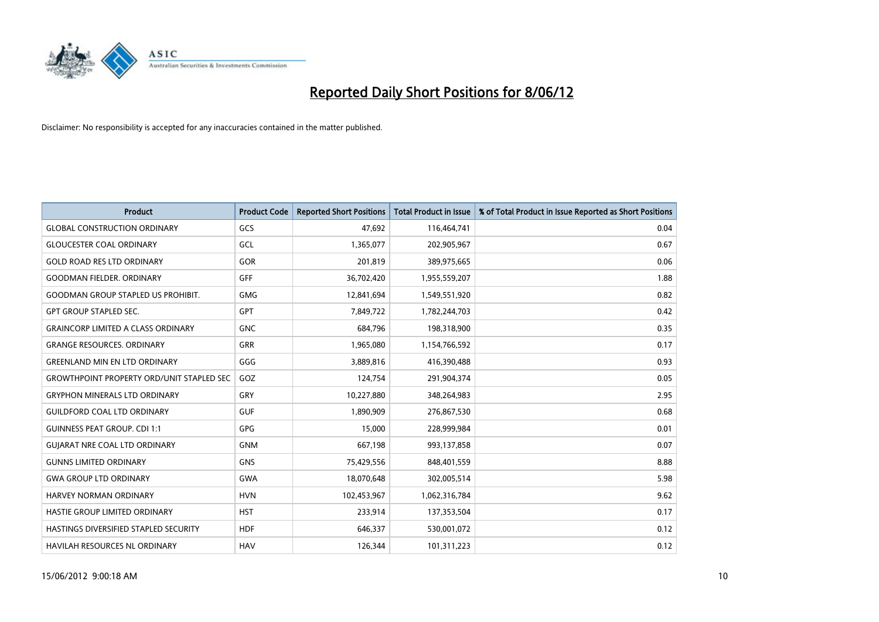

| <b>Product</b>                                   | <b>Product Code</b> | <b>Reported Short Positions</b> | <b>Total Product in Issue</b> | % of Total Product in Issue Reported as Short Positions |
|--------------------------------------------------|---------------------|---------------------------------|-------------------------------|---------------------------------------------------------|
| <b>GLOBAL CONSTRUCTION ORDINARY</b>              | GCS                 | 47,692                          | 116,464,741                   | 0.04                                                    |
| <b>GLOUCESTER COAL ORDINARY</b>                  | GCL                 | 1,365,077                       | 202,905,967                   | 0.67                                                    |
| <b>GOLD ROAD RES LTD ORDINARY</b>                | GOR                 | 201,819                         | 389,975,665                   | 0.06                                                    |
| <b>GOODMAN FIELDER, ORDINARY</b>                 | GFF                 | 36,702,420                      | 1,955,559,207                 | 1.88                                                    |
| <b>GOODMAN GROUP STAPLED US PROHIBIT.</b>        | <b>GMG</b>          | 12,841,694                      | 1,549,551,920                 | 0.82                                                    |
| <b>GPT GROUP STAPLED SEC.</b>                    | <b>GPT</b>          | 7,849,722                       | 1,782,244,703                 | 0.42                                                    |
| <b>GRAINCORP LIMITED A CLASS ORDINARY</b>        | <b>GNC</b>          | 684,796                         | 198,318,900                   | 0.35                                                    |
| <b>GRANGE RESOURCES. ORDINARY</b>                | GRR                 | 1,965,080                       | 1,154,766,592                 | 0.17                                                    |
| <b>GREENLAND MIN EN LTD ORDINARY</b>             | GGG                 | 3,889,816                       | 416,390,488                   | 0.93                                                    |
| <b>GROWTHPOINT PROPERTY ORD/UNIT STAPLED SEC</b> | GOZ                 | 124,754                         | 291,904,374                   | 0.05                                                    |
| <b>GRYPHON MINERALS LTD ORDINARY</b>             | GRY                 | 10,227,880                      | 348,264,983                   | 2.95                                                    |
| <b>GUILDFORD COAL LTD ORDINARY</b>               | <b>GUF</b>          | 1,890,909                       | 276,867,530                   | 0.68                                                    |
| <b>GUINNESS PEAT GROUP. CDI 1:1</b>              | GPG                 | 15,000                          | 228,999,984                   | 0.01                                                    |
| <b>GUIARAT NRE COAL LTD ORDINARY</b>             | <b>GNM</b>          | 667,198                         | 993,137,858                   | 0.07                                                    |
| <b>GUNNS LIMITED ORDINARY</b>                    | <b>GNS</b>          | 75,429,556                      | 848,401,559                   | 8.88                                                    |
| <b>GWA GROUP LTD ORDINARY</b>                    | <b>GWA</b>          | 18,070,648                      | 302,005,514                   | 5.98                                                    |
| HARVEY NORMAN ORDINARY                           | <b>HVN</b>          | 102,453,967                     | 1,062,316,784                 | 9.62                                                    |
| HASTIE GROUP LIMITED ORDINARY                    | <b>HST</b>          | 233,914                         | 137,353,504                   | 0.17                                                    |
| HASTINGS DIVERSIFIED STAPLED SECURITY            | <b>HDF</b>          | 646,337                         | 530,001,072                   | 0.12                                                    |
| HAVILAH RESOURCES NL ORDINARY                    | <b>HAV</b>          | 126,344                         | 101,311,223                   | 0.12                                                    |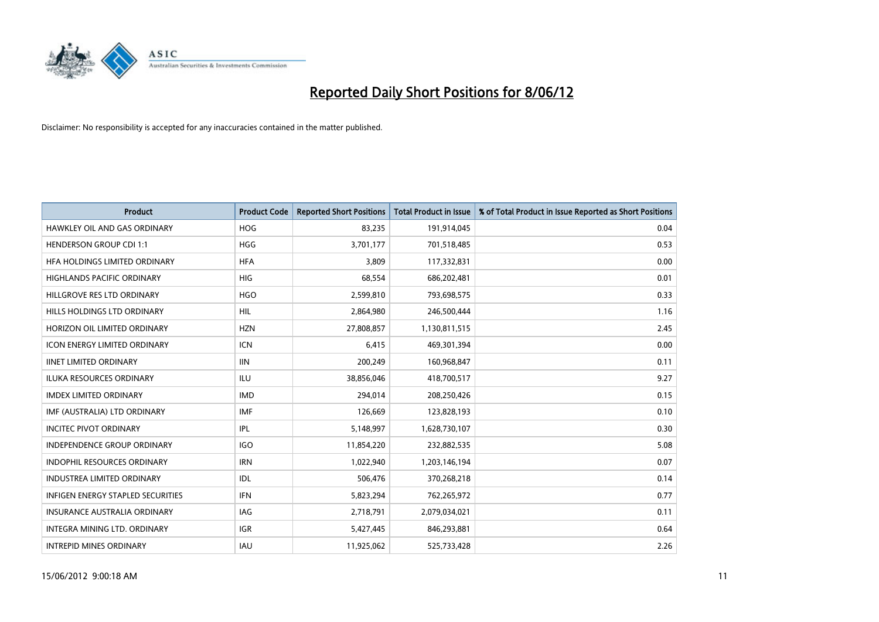

| <b>Product</b>                      | <b>Product Code</b> | <b>Reported Short Positions</b> | <b>Total Product in Issue</b> | % of Total Product in Issue Reported as Short Positions |
|-------------------------------------|---------------------|---------------------------------|-------------------------------|---------------------------------------------------------|
| HAWKLEY OIL AND GAS ORDINARY        | <b>HOG</b>          | 83,235                          | 191,914,045                   | 0.04                                                    |
| <b>HENDERSON GROUP CDI 1:1</b>      | <b>HGG</b>          | 3,701,177                       | 701,518,485                   | 0.53                                                    |
| HFA HOLDINGS LIMITED ORDINARY       | <b>HFA</b>          | 3,809                           | 117,332,831                   | 0.00                                                    |
| HIGHLANDS PACIFIC ORDINARY          | <b>HIG</b>          | 68,554                          | 686,202,481                   | 0.01                                                    |
| HILLGROVE RES LTD ORDINARY          | <b>HGO</b>          | 2,599,810                       | 793,698,575                   | 0.33                                                    |
| HILLS HOLDINGS LTD ORDINARY         | <b>HIL</b>          | 2,864,980                       | 246,500,444                   | 1.16                                                    |
| HORIZON OIL LIMITED ORDINARY        | <b>HZN</b>          | 27,808,857                      | 1,130,811,515                 | 2.45                                                    |
| ICON ENERGY LIMITED ORDINARY        | <b>ICN</b>          | 6,415                           | 469,301,394                   | 0.00                                                    |
| <b>IINET LIMITED ORDINARY</b>       | <b>IIN</b>          | 200,249                         | 160,968,847                   | 0.11                                                    |
| <b>ILUKA RESOURCES ORDINARY</b>     | ILU                 | 38,856,046                      | 418,700,517                   | 9.27                                                    |
| <b>IMDEX LIMITED ORDINARY</b>       | <b>IMD</b>          | 294,014                         | 208,250,426                   | 0.15                                                    |
| IMF (AUSTRALIA) LTD ORDINARY        | <b>IMF</b>          | 126,669                         | 123,828,193                   | 0.10                                                    |
| <b>INCITEC PIVOT ORDINARY</b>       | IPL                 | 5,148,997                       | 1,628,730,107                 | 0.30                                                    |
| <b>INDEPENDENCE GROUP ORDINARY</b>  | <b>IGO</b>          | 11,854,220                      | 232,882,535                   | 5.08                                                    |
| <b>INDOPHIL RESOURCES ORDINARY</b>  | <b>IRN</b>          | 1,022,940                       | 1,203,146,194                 | 0.07                                                    |
| INDUSTREA LIMITED ORDINARY          | IDL                 | 506,476                         | 370,268,218                   | 0.14                                                    |
| INFIGEN ENERGY STAPLED SECURITIES   | <b>IFN</b>          | 5,823,294                       | 762,265,972                   | 0.77                                                    |
| <b>INSURANCE AUSTRALIA ORDINARY</b> | IAG                 | 2,718,791                       | 2,079,034,021                 | 0.11                                                    |
| INTEGRA MINING LTD, ORDINARY        | <b>IGR</b>          | 5,427,445                       | 846,293,881                   | 0.64                                                    |
| <b>INTREPID MINES ORDINARY</b>      | IAU                 | 11,925,062                      | 525,733,428                   | 2.26                                                    |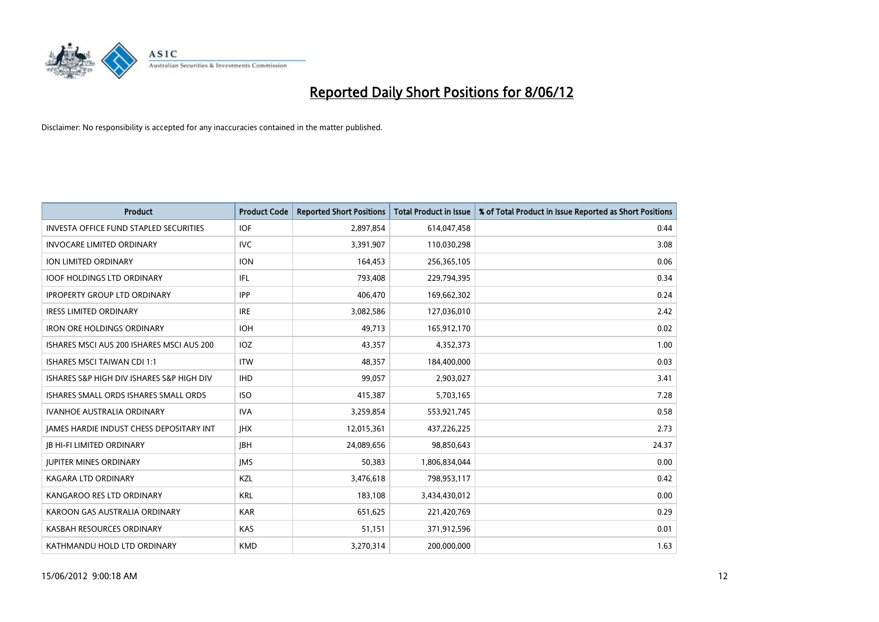

| <b>Product</b>                                | <b>Product Code</b> | <b>Reported Short Positions</b> | <b>Total Product in Issue</b> | % of Total Product in Issue Reported as Short Positions |
|-----------------------------------------------|---------------------|---------------------------------|-------------------------------|---------------------------------------------------------|
| <b>INVESTA OFFICE FUND STAPLED SECURITIES</b> | <b>IOF</b>          | 2,897,854                       | 614,047,458                   | 0.44                                                    |
| <b>INVOCARE LIMITED ORDINARY</b>              | IVC.                | 3,391,907                       | 110,030,298                   | 3.08                                                    |
| ION LIMITED ORDINARY                          | <b>ION</b>          | 164,453                         | 256,365,105                   | 0.06                                                    |
| <b>IOOF HOLDINGS LTD ORDINARY</b>             | IFL                 | 793,408                         | 229,794,395                   | 0.34                                                    |
| <b>IPROPERTY GROUP LTD ORDINARY</b>           | <b>IPP</b>          | 406,470                         | 169,662,302                   | 0.24                                                    |
| <b>IRESS LIMITED ORDINARY</b>                 | <b>IRE</b>          | 3,082,586                       | 127,036,010                   | 2.42                                                    |
| <b>IRON ORE HOLDINGS ORDINARY</b>             | <b>IOH</b>          | 49,713                          | 165,912,170                   | 0.02                                                    |
| ISHARES MSCI AUS 200 ISHARES MSCI AUS 200     | IOZ                 | 43,357                          | 4,352,373                     | 1.00                                                    |
| <b>ISHARES MSCI TAIWAN CDI 1:1</b>            | <b>ITW</b>          | 48,357                          | 184,400,000                   | 0.03                                                    |
| ISHARES S&P HIGH DIV ISHARES S&P HIGH DIV     | <b>IHD</b>          | 99,057                          | 2,903,027                     | 3.41                                                    |
| ISHARES SMALL ORDS ISHARES SMALL ORDS         | <b>ISO</b>          | 415,387                         | 5,703,165                     | 7.28                                                    |
| <b>IVANHOE AUSTRALIA ORDINARY</b>             | <b>IVA</b>          | 3,259,854                       | 553,921,745                   | 0.58                                                    |
| JAMES HARDIE INDUST CHESS DEPOSITARY INT      | <b>IHX</b>          | 12,015,361                      | 437,226,225                   | 2.73                                                    |
| <b>JB HI-FI LIMITED ORDINARY</b>              | <b>IBH</b>          | 24,089,656                      | 98,850,643                    | 24.37                                                   |
| <b>JUPITER MINES ORDINARY</b>                 | <b>IMS</b>          | 50,383                          | 1,806,834,044                 | 0.00                                                    |
| KAGARA LTD ORDINARY                           | KZL                 | 3,476,618                       | 798,953,117                   | 0.42                                                    |
| KANGAROO RES LTD ORDINARY                     | <b>KRL</b>          | 183,108                         | 3,434,430,012                 | 0.00                                                    |
| KAROON GAS AUSTRALIA ORDINARY                 | <b>KAR</b>          | 651,625                         | 221,420,769                   | 0.29                                                    |
| KASBAH RESOURCES ORDINARY                     | <b>KAS</b>          | 51,151                          | 371,912,596                   | 0.01                                                    |
| KATHMANDU HOLD LTD ORDINARY                   | <b>KMD</b>          | 3,270,314                       | 200,000,000                   | 1.63                                                    |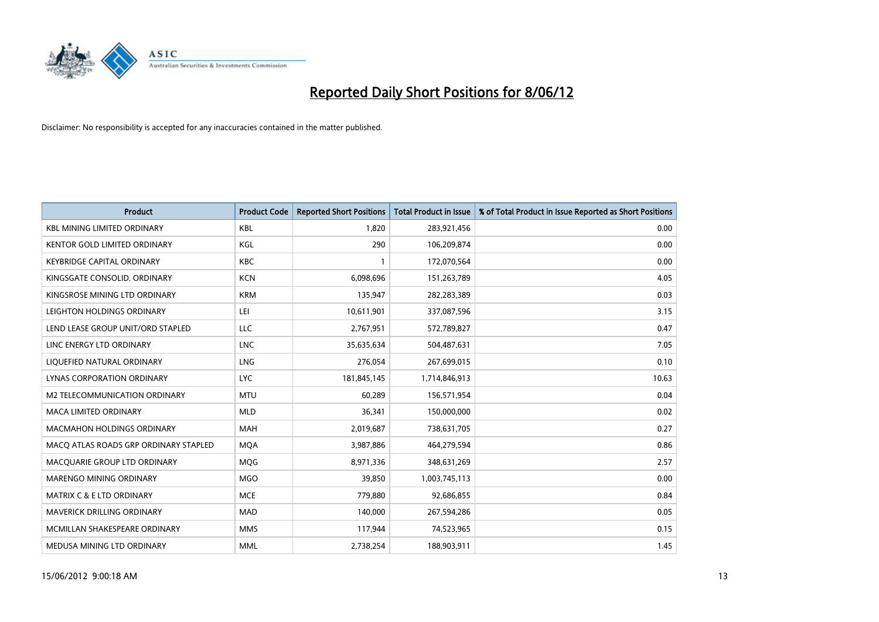

| <b>Product</b>                        | <b>Product Code</b> | <b>Reported Short Positions</b> | <b>Total Product in Issue</b> | % of Total Product in Issue Reported as Short Positions |
|---------------------------------------|---------------------|---------------------------------|-------------------------------|---------------------------------------------------------|
| <b>KBL MINING LIMITED ORDINARY</b>    | <b>KBL</b>          | 1,820                           | 283,921,456                   | 0.00                                                    |
| KENTOR GOLD LIMITED ORDINARY          | KGL                 | 290                             | 106,209,874                   | 0.00                                                    |
| <b>KEYBRIDGE CAPITAL ORDINARY</b>     | <b>KBC</b>          | $\mathbf{1}$                    | 172,070,564                   | 0.00                                                    |
| KINGSGATE CONSOLID. ORDINARY          | <b>KCN</b>          | 6,098,696                       | 151,263,789                   | 4.05                                                    |
| KINGSROSE MINING LTD ORDINARY         | <b>KRM</b>          | 135,947                         | 282,283,389                   | 0.03                                                    |
| LEIGHTON HOLDINGS ORDINARY            | LEI                 | 10,611,901                      | 337,087,596                   | 3.15                                                    |
| LEND LEASE GROUP UNIT/ORD STAPLED     | LLC                 | 2,767,951                       | 572,789,827                   | 0.47                                                    |
| LINC ENERGY LTD ORDINARY              | <b>LNC</b>          | 35,635,634                      | 504,487,631                   | 7.05                                                    |
| LIQUEFIED NATURAL ORDINARY            | <b>LNG</b>          | 276,054                         | 267,699,015                   | 0.10                                                    |
| <b>LYNAS CORPORATION ORDINARY</b>     | <b>LYC</b>          | 181,845,145                     | 1,714,846,913                 | 10.63                                                   |
| M2 TELECOMMUNICATION ORDINARY         | <b>MTU</b>          | 60,289                          | 156,571,954                   | 0.04                                                    |
| <b>MACA LIMITED ORDINARY</b>          | <b>MLD</b>          | 36,341                          | 150,000,000                   | 0.02                                                    |
| MACMAHON HOLDINGS ORDINARY            | <b>MAH</b>          | 2,019,687                       | 738,631,705                   | 0.27                                                    |
| MACO ATLAS ROADS GRP ORDINARY STAPLED | <b>MOA</b>          | 3,987,886                       | 464,279,594                   | 0.86                                                    |
| MACQUARIE GROUP LTD ORDINARY          | <b>MQG</b>          | 8,971,336                       | 348,631,269                   | 2.57                                                    |
| MARENGO MINING ORDINARY               | <b>MGO</b>          | 39,850                          | 1,003,745,113                 | 0.00                                                    |
| MATRIX C & E LTD ORDINARY             | <b>MCE</b>          | 779,880                         | 92,686,855                    | 0.84                                                    |
| <b>MAVERICK DRILLING ORDINARY</b>     | <b>MAD</b>          | 140,000                         | 267,594,286                   | 0.05                                                    |
| MCMILLAN SHAKESPEARE ORDINARY         | <b>MMS</b>          | 117,944                         | 74,523,965                    | 0.15                                                    |
| MEDUSA MINING LTD ORDINARY            | <b>MML</b>          | 2,738,254                       | 188,903,911                   | 1.45                                                    |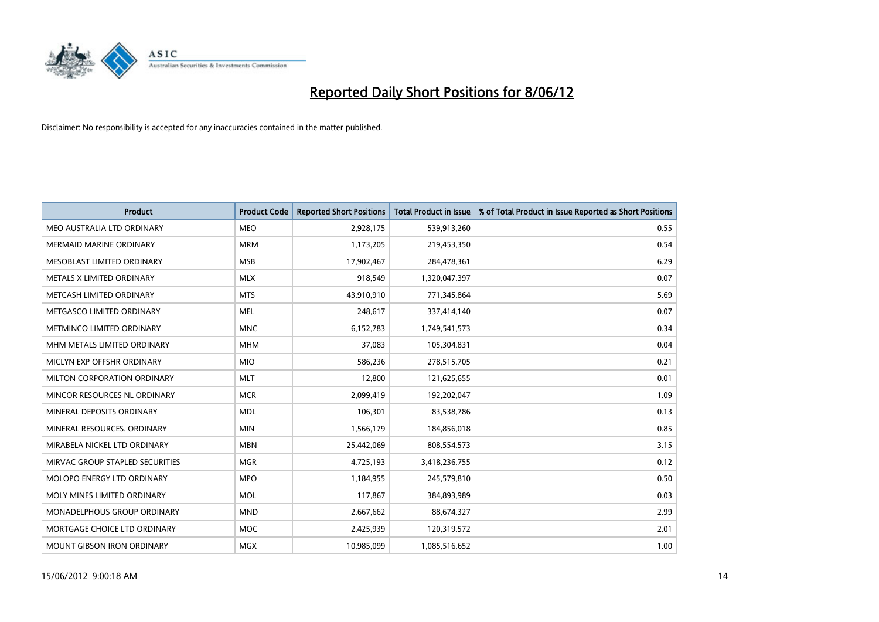

| <b>Product</b>                  | <b>Product Code</b> | <b>Reported Short Positions</b> | <b>Total Product in Issue</b> | % of Total Product in Issue Reported as Short Positions |
|---------------------------------|---------------------|---------------------------------|-------------------------------|---------------------------------------------------------|
| MEO AUSTRALIA LTD ORDINARY      | <b>MEO</b>          | 2,928,175                       | 539,913,260                   | 0.55                                                    |
| MERMAID MARINE ORDINARY         | <b>MRM</b>          | 1,173,205                       | 219,453,350                   | 0.54                                                    |
| MESOBLAST LIMITED ORDINARY      | <b>MSB</b>          | 17,902,467                      | 284,478,361                   | 6.29                                                    |
| METALS X LIMITED ORDINARY       | <b>MLX</b>          | 918,549                         | 1,320,047,397                 | 0.07                                                    |
| METCASH LIMITED ORDINARY        | <b>MTS</b>          | 43,910,910                      | 771,345,864                   | 5.69                                                    |
| METGASCO LIMITED ORDINARY       | <b>MEL</b>          | 248,617                         | 337,414,140                   | 0.07                                                    |
| METMINCO LIMITED ORDINARY       | <b>MNC</b>          | 6,152,783                       | 1,749,541,573                 | 0.34                                                    |
| MHM METALS LIMITED ORDINARY     | <b>MHM</b>          | 37,083                          | 105,304,831                   | 0.04                                                    |
| MICLYN EXP OFFSHR ORDINARY      | <b>MIO</b>          | 586,236                         | 278,515,705                   | 0.21                                                    |
| MILTON CORPORATION ORDINARY     | <b>MLT</b>          | 12,800                          | 121,625,655                   | 0.01                                                    |
| MINCOR RESOURCES NL ORDINARY    | <b>MCR</b>          | 2,099,419                       | 192,202,047                   | 1.09                                                    |
| MINERAL DEPOSITS ORDINARY       | <b>MDL</b>          | 106,301                         | 83,538,786                    | 0.13                                                    |
| MINERAL RESOURCES. ORDINARY     | <b>MIN</b>          | 1,566,179                       | 184,856,018                   | 0.85                                                    |
| MIRABELA NICKEL LTD ORDINARY    | <b>MBN</b>          | 25,442,069                      | 808,554,573                   | 3.15                                                    |
| MIRVAC GROUP STAPLED SECURITIES | <b>MGR</b>          | 4,725,193                       | 3,418,236,755                 | 0.12                                                    |
| MOLOPO ENERGY LTD ORDINARY      | <b>MPO</b>          | 1,184,955                       | 245,579,810                   | 0.50                                                    |
| MOLY MINES LIMITED ORDINARY     | <b>MOL</b>          | 117,867                         | 384,893,989                   | 0.03                                                    |
| MONADELPHOUS GROUP ORDINARY     | <b>MND</b>          | 2,667,662                       | 88,674,327                    | 2.99                                                    |
| MORTGAGE CHOICE LTD ORDINARY    | <b>MOC</b>          | 2,425,939                       | 120,319,572                   | 2.01                                                    |
| MOUNT GIBSON IRON ORDINARY      | <b>MGX</b>          | 10,985,099                      | 1,085,516,652                 | 1.00                                                    |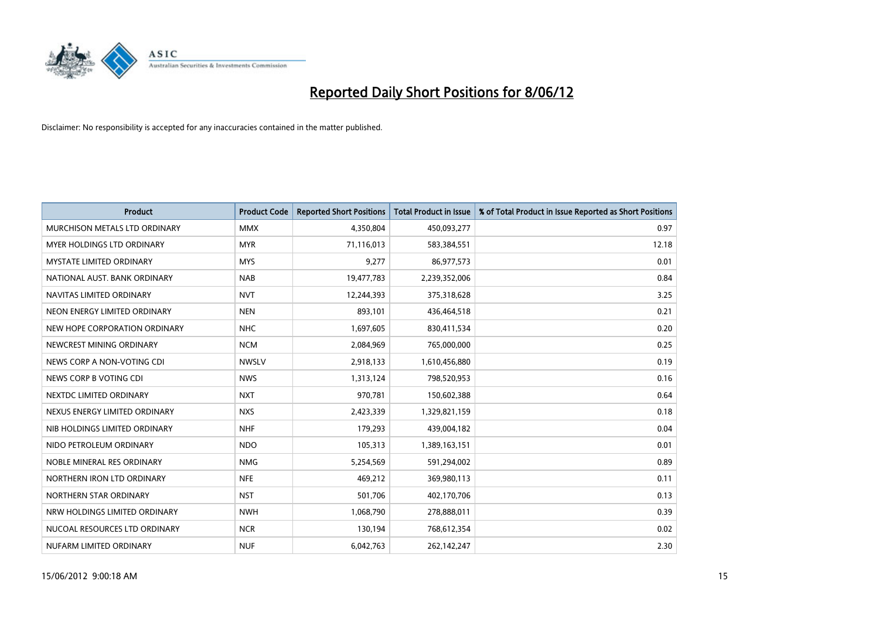

| <b>Product</b>                  | <b>Product Code</b> | <b>Reported Short Positions</b> | <b>Total Product in Issue</b> | % of Total Product in Issue Reported as Short Positions |
|---------------------------------|---------------------|---------------------------------|-------------------------------|---------------------------------------------------------|
| MURCHISON METALS LTD ORDINARY   | <b>MMX</b>          | 4,350,804                       | 450,093,277                   | 0.97                                                    |
| MYER HOLDINGS LTD ORDINARY      | <b>MYR</b>          | 71,116,013                      | 583,384,551                   | 12.18                                                   |
| <b>MYSTATE LIMITED ORDINARY</b> | <b>MYS</b>          | 9,277                           | 86,977,573                    | 0.01                                                    |
| NATIONAL AUST, BANK ORDINARY    | <b>NAB</b>          | 19,477,783                      | 2,239,352,006                 | 0.84                                                    |
| NAVITAS LIMITED ORDINARY        | <b>NVT</b>          | 12,244,393                      | 375,318,628                   | 3.25                                                    |
| NEON ENERGY LIMITED ORDINARY    | <b>NEN</b>          | 893,101                         | 436,464,518                   | 0.21                                                    |
| NEW HOPE CORPORATION ORDINARY   | <b>NHC</b>          | 1,697,605                       | 830,411,534                   | 0.20                                                    |
| NEWCREST MINING ORDINARY        | <b>NCM</b>          | 2,084,969                       | 765,000,000                   | 0.25                                                    |
| NEWS CORP A NON-VOTING CDI      | <b>NWSLV</b>        | 2,918,133                       | 1,610,456,880                 | 0.19                                                    |
| NEWS CORP B VOTING CDI          | <b>NWS</b>          | 1,313,124                       | 798,520,953                   | 0.16                                                    |
| NEXTDC LIMITED ORDINARY         | <b>NXT</b>          | 970,781                         | 150,602,388                   | 0.64                                                    |
| NEXUS ENERGY LIMITED ORDINARY   | <b>NXS</b>          | 2,423,339                       | 1,329,821,159                 | 0.18                                                    |
| NIB HOLDINGS LIMITED ORDINARY   | <b>NHF</b>          | 179,293                         | 439,004,182                   | 0.04                                                    |
| NIDO PETROLEUM ORDINARY         | <b>NDO</b>          | 105,313                         | 1,389,163,151                 | 0.01                                                    |
| NOBLE MINERAL RES ORDINARY      | <b>NMG</b>          | 5,254,569                       | 591,294,002                   | 0.89                                                    |
| NORTHERN IRON LTD ORDINARY      | <b>NFE</b>          | 469,212                         | 369,980,113                   | 0.11                                                    |
| NORTHERN STAR ORDINARY          | <b>NST</b>          | 501,706                         | 402,170,706                   | 0.13                                                    |
| NRW HOLDINGS LIMITED ORDINARY   | <b>NWH</b>          | 1,068,790                       | 278,888,011                   | 0.39                                                    |
| NUCOAL RESOURCES LTD ORDINARY   | <b>NCR</b>          | 130,194                         | 768,612,354                   | 0.02                                                    |
| NUFARM LIMITED ORDINARY         | <b>NUF</b>          | 6,042,763                       | 262,142,247                   | 2.30                                                    |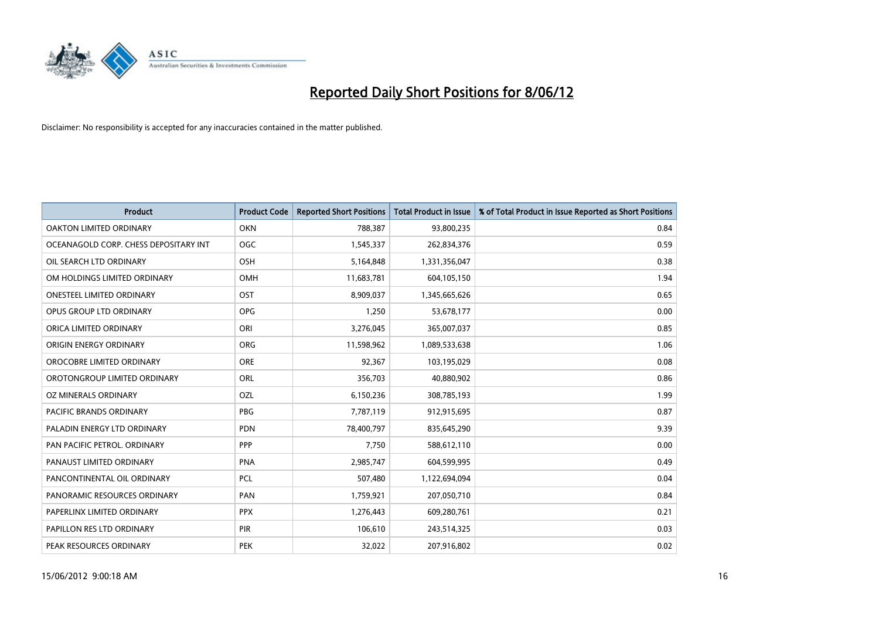

| <b>Product</b>                        | <b>Product Code</b> | <b>Reported Short Positions</b> | <b>Total Product in Issue</b> | % of Total Product in Issue Reported as Short Positions |
|---------------------------------------|---------------------|---------------------------------|-------------------------------|---------------------------------------------------------|
| <b>OAKTON LIMITED ORDINARY</b>        | <b>OKN</b>          | 788,387                         | 93,800,235                    | 0.84                                                    |
| OCEANAGOLD CORP. CHESS DEPOSITARY INT | <b>OGC</b>          | 1,545,337                       | 262,834,376                   | 0.59                                                    |
| OIL SEARCH LTD ORDINARY               | OSH                 | 5,164,848                       | 1,331,356,047                 | 0.38                                                    |
| OM HOLDINGS LIMITED ORDINARY          | OMH                 | 11,683,781                      | 604,105,150                   | 1.94                                                    |
| <b>ONESTEEL LIMITED ORDINARY</b>      | OST                 | 8,909,037                       | 1,345,665,626                 | 0.65                                                    |
| OPUS GROUP LTD ORDINARY               | <b>OPG</b>          | 1,250                           | 53,678,177                    | 0.00                                                    |
| ORICA LIMITED ORDINARY                | ORI                 | 3,276,045                       | 365,007,037                   | 0.85                                                    |
| ORIGIN ENERGY ORDINARY                | ORG                 | 11,598,962                      | 1,089,533,638                 | 1.06                                                    |
| OROCOBRE LIMITED ORDINARY             | <b>ORE</b>          | 92,367                          | 103,195,029                   | 0.08                                                    |
| OROTONGROUP LIMITED ORDINARY          | ORL                 | 356,703                         | 40,880,902                    | 0.86                                                    |
| OZ MINERALS ORDINARY                  | OZL                 | 6,150,236                       | 308,785,193                   | 1.99                                                    |
| PACIFIC BRANDS ORDINARY               | <b>PBG</b>          | 7,787,119                       | 912,915,695                   | 0.87                                                    |
| PALADIN ENERGY LTD ORDINARY           | <b>PDN</b>          | 78,400,797                      | 835,645,290                   | 9.39                                                    |
| PAN PACIFIC PETROL. ORDINARY          | <b>PPP</b>          | 7,750                           | 588,612,110                   | 0.00                                                    |
| PANAUST LIMITED ORDINARY              | <b>PNA</b>          | 2,985,747                       | 604,599,995                   | 0.49                                                    |
| PANCONTINENTAL OIL ORDINARY           | PCL                 | 507,480                         | 1,122,694,094                 | 0.04                                                    |
| PANORAMIC RESOURCES ORDINARY          | PAN                 | 1,759,921                       | 207,050,710                   | 0.84                                                    |
| PAPERLINX LIMITED ORDINARY            | <b>PPX</b>          | 1,276,443                       | 609,280,761                   | 0.21                                                    |
| PAPILLON RES LTD ORDINARY             | PIR                 | 106,610                         | 243,514,325                   | 0.03                                                    |
| PEAK RESOURCES ORDINARY               | <b>PEK</b>          | 32,022                          | 207,916,802                   | 0.02                                                    |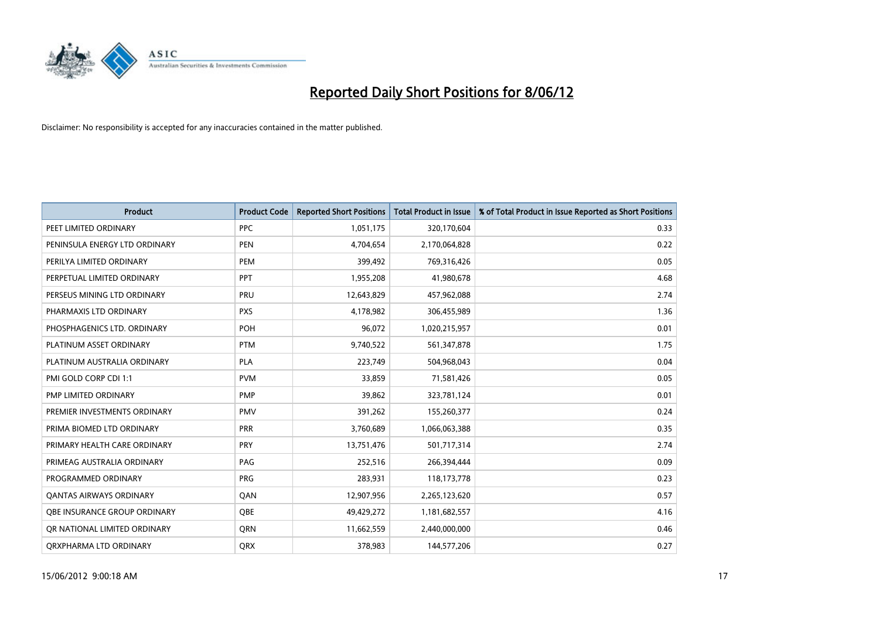

| <b>Product</b>                 | <b>Product Code</b> | <b>Reported Short Positions</b> | <b>Total Product in Issue</b> | % of Total Product in Issue Reported as Short Positions |
|--------------------------------|---------------------|---------------------------------|-------------------------------|---------------------------------------------------------|
| PEET LIMITED ORDINARY          | <b>PPC</b>          | 1,051,175                       | 320,170,604                   | 0.33                                                    |
| PENINSULA ENERGY LTD ORDINARY  | <b>PEN</b>          | 4,704,654                       | 2,170,064,828                 | 0.22                                                    |
| PERILYA LIMITED ORDINARY       | PEM                 | 399,492                         | 769,316,426                   | 0.05                                                    |
| PERPETUAL LIMITED ORDINARY     | <b>PPT</b>          | 1,955,208                       | 41,980,678                    | 4.68                                                    |
| PERSEUS MINING LTD ORDINARY    | PRU                 | 12,643,829                      | 457,962,088                   | 2.74                                                    |
| PHARMAXIS LTD ORDINARY         | <b>PXS</b>          | 4,178,982                       | 306,455,989                   | 1.36                                                    |
| PHOSPHAGENICS LTD. ORDINARY    | <b>POH</b>          | 96,072                          | 1,020,215,957                 | 0.01                                                    |
| PLATINUM ASSET ORDINARY        | <b>PTM</b>          | 9,740,522                       | 561,347,878                   | 1.75                                                    |
| PLATINUM AUSTRALIA ORDINARY    | PLA                 | 223,749                         | 504,968,043                   | 0.04                                                    |
| PMI GOLD CORP CDI 1:1          | <b>PVM</b>          | 33,859                          | 71,581,426                    | 0.05                                                    |
| PMP LIMITED ORDINARY           | <b>PMP</b>          | 39,862                          | 323,781,124                   | 0.01                                                    |
| PREMIER INVESTMENTS ORDINARY   | <b>PMV</b>          | 391,262                         | 155,260,377                   | 0.24                                                    |
| PRIMA BIOMED LTD ORDINARY      | <b>PRR</b>          | 3,760,689                       | 1,066,063,388                 | 0.35                                                    |
| PRIMARY HEALTH CARE ORDINARY   | <b>PRY</b>          | 13,751,476                      | 501,717,314                   | 2.74                                                    |
| PRIMEAG AUSTRALIA ORDINARY     | PAG                 | 252,516                         | 266,394,444                   | 0.09                                                    |
| PROGRAMMED ORDINARY            | <b>PRG</b>          | 283,931                         | 118, 173, 778                 | 0.23                                                    |
| <b>QANTAS AIRWAYS ORDINARY</b> | QAN                 | 12,907,956                      | 2,265,123,620                 | 0.57                                                    |
| OBE INSURANCE GROUP ORDINARY   | <b>OBE</b>          | 49,429,272                      | 1,181,682,557                 | 4.16                                                    |
| OR NATIONAL LIMITED ORDINARY   | <b>ORN</b>          | 11,662,559                      | 2,440,000,000                 | 0.46                                                    |
| ORXPHARMA LTD ORDINARY         | QRX                 | 378,983                         | 144,577,206                   | 0.27                                                    |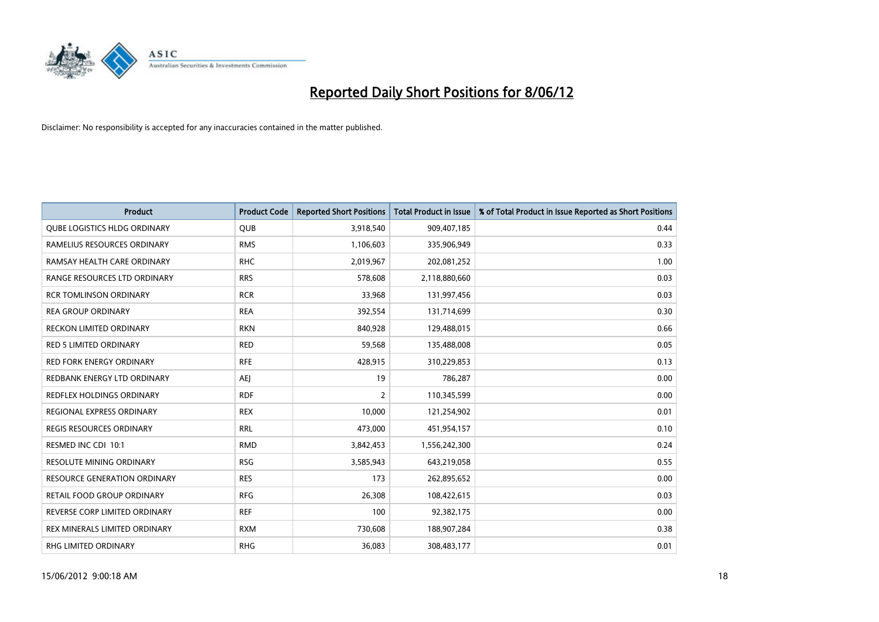

| <b>Product</b>                      | <b>Product Code</b> | <b>Reported Short Positions</b> | <b>Total Product in Issue</b> | % of Total Product in Issue Reported as Short Positions |
|-------------------------------------|---------------------|---------------------------------|-------------------------------|---------------------------------------------------------|
| <b>QUBE LOGISTICS HLDG ORDINARY</b> | <b>QUB</b>          | 3,918,540                       | 909,407,185                   | 0.44                                                    |
| RAMELIUS RESOURCES ORDINARY         | <b>RMS</b>          | 1,106,603                       | 335,906,949                   | 0.33                                                    |
| RAMSAY HEALTH CARE ORDINARY         | <b>RHC</b>          | 2,019,967                       | 202,081,252                   | 1.00                                                    |
| RANGE RESOURCES LTD ORDINARY        | <b>RRS</b>          | 578,608                         | 2,118,880,660                 | 0.03                                                    |
| <b>RCR TOMLINSON ORDINARY</b>       | <b>RCR</b>          | 33,968                          | 131,997,456                   | 0.03                                                    |
| <b>REA GROUP ORDINARY</b>           | <b>REA</b>          | 392,554                         | 131,714,699                   | 0.30                                                    |
| <b>RECKON LIMITED ORDINARY</b>      | <b>RKN</b>          | 840,928                         | 129,488,015                   | 0.66                                                    |
| RED 5 LIMITED ORDINARY              | <b>RED</b>          | 59,568                          | 135,488,008                   | 0.05                                                    |
| <b>RED FORK ENERGY ORDINARY</b>     | <b>RFE</b>          | 428,915                         | 310,229,853                   | 0.13                                                    |
| REDBANK ENERGY LTD ORDINARY         | AEJ                 | 19                              | 786,287                       | 0.00                                                    |
| REDFLEX HOLDINGS ORDINARY           | <b>RDF</b>          | $\overline{2}$                  | 110,345,599                   | 0.00                                                    |
| REGIONAL EXPRESS ORDINARY           | <b>REX</b>          | 10,000                          | 121,254,902                   | 0.01                                                    |
| REGIS RESOURCES ORDINARY            | <b>RRL</b>          | 473,000                         | 451,954,157                   | 0.10                                                    |
| RESMED INC CDI 10:1                 | <b>RMD</b>          | 3,842,453                       | 1,556,242,300                 | 0.24                                                    |
| <b>RESOLUTE MINING ORDINARY</b>     | <b>RSG</b>          | 3,585,943                       | 643,219,058                   | 0.55                                                    |
| <b>RESOURCE GENERATION ORDINARY</b> | <b>RES</b>          | 173                             | 262,895,652                   | 0.00                                                    |
| RETAIL FOOD GROUP ORDINARY          | <b>RFG</b>          | 26,308                          | 108,422,615                   | 0.03                                                    |
| REVERSE CORP LIMITED ORDINARY       | <b>REF</b>          | 100                             | 92,382,175                    | 0.00                                                    |
| REX MINERALS LIMITED ORDINARY       | <b>RXM</b>          | 730,608                         | 188,907,284                   | 0.38                                                    |
| <b>RHG LIMITED ORDINARY</b>         | <b>RHG</b>          | 36,083                          | 308,483,177                   | 0.01                                                    |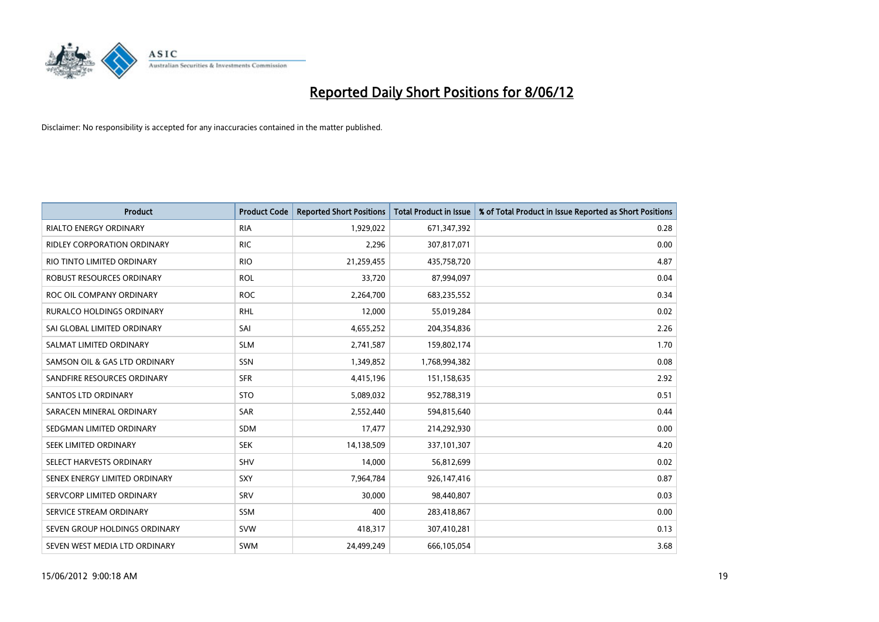

| <b>Product</b>                     | <b>Product Code</b> | <b>Reported Short Positions</b> | <b>Total Product in Issue</b> | % of Total Product in Issue Reported as Short Positions |
|------------------------------------|---------------------|---------------------------------|-------------------------------|---------------------------------------------------------|
| <b>RIALTO ENERGY ORDINARY</b>      | <b>RIA</b>          | 1,929,022                       | 671,347,392                   | 0.28                                                    |
| <b>RIDLEY CORPORATION ORDINARY</b> | <b>RIC</b>          | 2,296                           | 307,817,071                   | 0.00                                                    |
| RIO TINTO LIMITED ORDINARY         | <b>RIO</b>          | 21,259,455                      | 435,758,720                   | 4.87                                                    |
| ROBUST RESOURCES ORDINARY          | <b>ROL</b>          | 33,720                          | 87,994,097                    | 0.04                                                    |
| ROC OIL COMPANY ORDINARY           | <b>ROC</b>          | 2,264,700                       | 683,235,552                   | 0.34                                                    |
| <b>RURALCO HOLDINGS ORDINARY</b>   | <b>RHL</b>          | 12,000                          | 55,019,284                    | 0.02                                                    |
| SAI GLOBAL LIMITED ORDINARY        | SAI                 | 4,655,252                       | 204,354,836                   | 2.26                                                    |
| SALMAT LIMITED ORDINARY            | <b>SLM</b>          | 2,741,587                       | 159,802,174                   | 1.70                                                    |
| SAMSON OIL & GAS LTD ORDINARY      | SSN                 | 1,349,852                       | 1,768,994,382                 | 0.08                                                    |
| SANDFIRE RESOURCES ORDINARY        | <b>SFR</b>          | 4,415,196                       | 151,158,635                   | 2.92                                                    |
| <b>SANTOS LTD ORDINARY</b>         | <b>STO</b>          | 5,089,032                       | 952,788,319                   | 0.51                                                    |
| SARACEN MINERAL ORDINARY           | SAR                 | 2,552,440                       | 594,815,640                   | 0.44                                                    |
| SEDGMAN LIMITED ORDINARY           | <b>SDM</b>          | 17,477                          | 214,292,930                   | 0.00                                                    |
| SEEK LIMITED ORDINARY              | <b>SEK</b>          | 14,138,509                      | 337,101,307                   | 4.20                                                    |
| SELECT HARVESTS ORDINARY           | SHV                 | 14,000                          | 56,812,699                    | 0.02                                                    |
| SENEX ENERGY LIMITED ORDINARY      | SXY                 | 7,964,784                       | 926,147,416                   | 0.87                                                    |
| SERVCORP LIMITED ORDINARY          | SRV                 | 30,000                          | 98,440,807                    | 0.03                                                    |
| SERVICE STREAM ORDINARY            | <b>SSM</b>          | 400                             | 283,418,867                   | 0.00                                                    |
| SEVEN GROUP HOLDINGS ORDINARY      | <b>SVW</b>          | 418,317                         | 307,410,281                   | 0.13                                                    |
| SEVEN WEST MEDIA LTD ORDINARY      | <b>SWM</b>          | 24,499,249                      | 666,105,054                   | 3.68                                                    |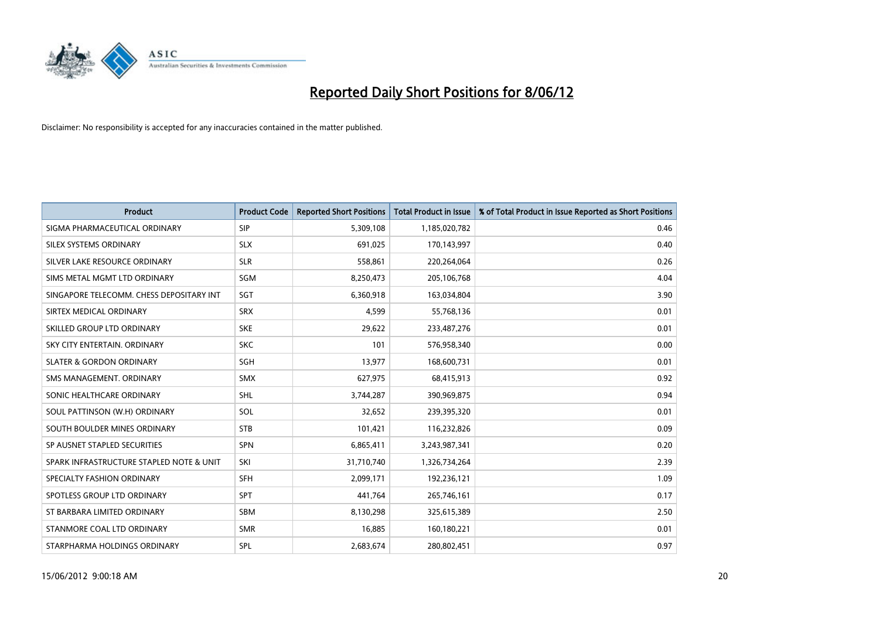

| <b>Product</b>                           | <b>Product Code</b> | <b>Reported Short Positions</b> | <b>Total Product in Issue</b> | % of Total Product in Issue Reported as Short Positions |
|------------------------------------------|---------------------|---------------------------------|-------------------------------|---------------------------------------------------------|
| SIGMA PHARMACEUTICAL ORDINARY            | <b>SIP</b>          | 5,309,108                       | 1,185,020,782                 | 0.46                                                    |
| SILEX SYSTEMS ORDINARY                   | <b>SLX</b>          | 691,025                         | 170,143,997                   | 0.40                                                    |
| SILVER LAKE RESOURCE ORDINARY            | <b>SLR</b>          | 558,861                         | 220,264,064                   | 0.26                                                    |
| SIMS METAL MGMT LTD ORDINARY             | SGM                 | 8,250,473                       | 205,106,768                   | 4.04                                                    |
| SINGAPORE TELECOMM. CHESS DEPOSITARY INT | SGT                 | 6,360,918                       | 163,034,804                   | 3.90                                                    |
| SIRTEX MEDICAL ORDINARY                  | <b>SRX</b>          | 4,599                           | 55,768,136                    | 0.01                                                    |
| SKILLED GROUP LTD ORDINARY               | <b>SKE</b>          | 29,622                          | 233,487,276                   | 0.01                                                    |
| SKY CITY ENTERTAIN. ORDINARY             | <b>SKC</b>          | 101                             | 576,958,340                   | 0.00                                                    |
| <b>SLATER &amp; GORDON ORDINARY</b>      | SGH                 | 13,977                          | 168,600,731                   | 0.01                                                    |
| SMS MANAGEMENT, ORDINARY                 | <b>SMX</b>          | 627,975                         | 68,415,913                    | 0.92                                                    |
| SONIC HEALTHCARE ORDINARY                | <b>SHL</b>          | 3,744,287                       | 390,969,875                   | 0.94                                                    |
| SOUL PATTINSON (W.H) ORDINARY            | SOL                 | 32,652                          | 239,395,320                   | 0.01                                                    |
| SOUTH BOULDER MINES ORDINARY             | <b>STB</b>          | 101,421                         | 116,232,826                   | 0.09                                                    |
| SP AUSNET STAPLED SECURITIES             | SPN                 | 6,865,411                       | 3,243,987,341                 | 0.20                                                    |
| SPARK INFRASTRUCTURE STAPLED NOTE & UNIT | SKI                 | 31,710,740                      | 1,326,734,264                 | 2.39                                                    |
| SPECIALTY FASHION ORDINARY               | SFH                 | 2,099,171                       | 192,236,121                   | 1.09                                                    |
| SPOTLESS GROUP LTD ORDINARY              | <b>SPT</b>          | 441,764                         | 265,746,161                   | 0.17                                                    |
| ST BARBARA LIMITED ORDINARY              | <b>SBM</b>          | 8,130,298                       | 325,615,389                   | 2.50                                                    |
| STANMORE COAL LTD ORDINARY               | <b>SMR</b>          | 16,885                          | 160,180,221                   | 0.01                                                    |
| STARPHARMA HOLDINGS ORDINARY             | SPL                 | 2,683,674                       | 280,802,451                   | 0.97                                                    |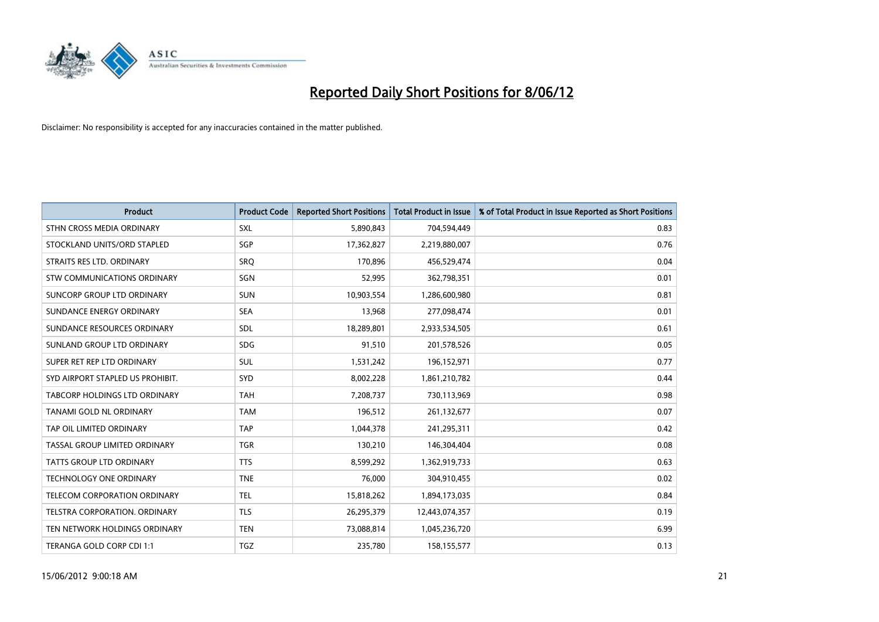

| <b>Product</b>                   | <b>Product Code</b> | <b>Reported Short Positions</b> | <b>Total Product in Issue</b> | % of Total Product in Issue Reported as Short Positions |
|----------------------------------|---------------------|---------------------------------|-------------------------------|---------------------------------------------------------|
| STHN CROSS MEDIA ORDINARY        | SXL                 | 5,890,843                       | 704,594,449                   | 0.83                                                    |
| STOCKLAND UNITS/ORD STAPLED      | SGP                 | 17,362,827                      | 2,219,880,007                 | 0.76                                                    |
| STRAITS RES LTD. ORDINARY        | SRQ                 | 170,896                         | 456,529,474                   | 0.04                                                    |
| STW COMMUNICATIONS ORDINARY      | SGN                 | 52,995                          | 362,798,351                   | 0.01                                                    |
| SUNCORP GROUP LTD ORDINARY       | <b>SUN</b>          | 10,903,554                      | 1,286,600,980                 | 0.81                                                    |
| SUNDANCE ENERGY ORDINARY         | <b>SEA</b>          | 13,968                          | 277,098,474                   | 0.01                                                    |
| SUNDANCE RESOURCES ORDINARY      | <b>SDL</b>          | 18,289,801                      | 2,933,534,505                 | 0.61                                                    |
| SUNLAND GROUP LTD ORDINARY       | <b>SDG</b>          | 91,510                          | 201,578,526                   | 0.05                                                    |
| SUPER RET REP LTD ORDINARY       | <b>SUL</b>          | 1,531,242                       | 196,152,971                   | 0.77                                                    |
| SYD AIRPORT STAPLED US PROHIBIT. | SYD                 | 8,002,228                       | 1,861,210,782                 | 0.44                                                    |
| TABCORP HOLDINGS LTD ORDINARY    | <b>TAH</b>          | 7,208,737                       | 730,113,969                   | 0.98                                                    |
| TANAMI GOLD NL ORDINARY          | <b>TAM</b>          | 196,512                         | 261,132,677                   | 0.07                                                    |
| TAP OIL LIMITED ORDINARY         | <b>TAP</b>          | 1,044,378                       | 241,295,311                   | 0.42                                                    |
| TASSAL GROUP LIMITED ORDINARY    | <b>TGR</b>          | 130,210                         | 146,304,404                   | 0.08                                                    |
| <b>TATTS GROUP LTD ORDINARY</b>  | <b>TTS</b>          | 8,599,292                       | 1,362,919,733                 | 0.63                                                    |
| <b>TECHNOLOGY ONE ORDINARY</b>   | <b>TNE</b>          | 76,000                          | 304,910,455                   | 0.02                                                    |
| TELECOM CORPORATION ORDINARY     | <b>TEL</b>          | 15,818,262                      | 1,894,173,035                 | 0.84                                                    |
| TELSTRA CORPORATION. ORDINARY    | <b>TLS</b>          | 26,295,379                      | 12,443,074,357                | 0.19                                                    |
| TEN NETWORK HOLDINGS ORDINARY    | <b>TEN</b>          | 73,088,814                      | 1,045,236,720                 | 6.99                                                    |
| TERANGA GOLD CORP CDI 1:1        | <b>TGZ</b>          | 235,780                         | 158,155,577                   | 0.13                                                    |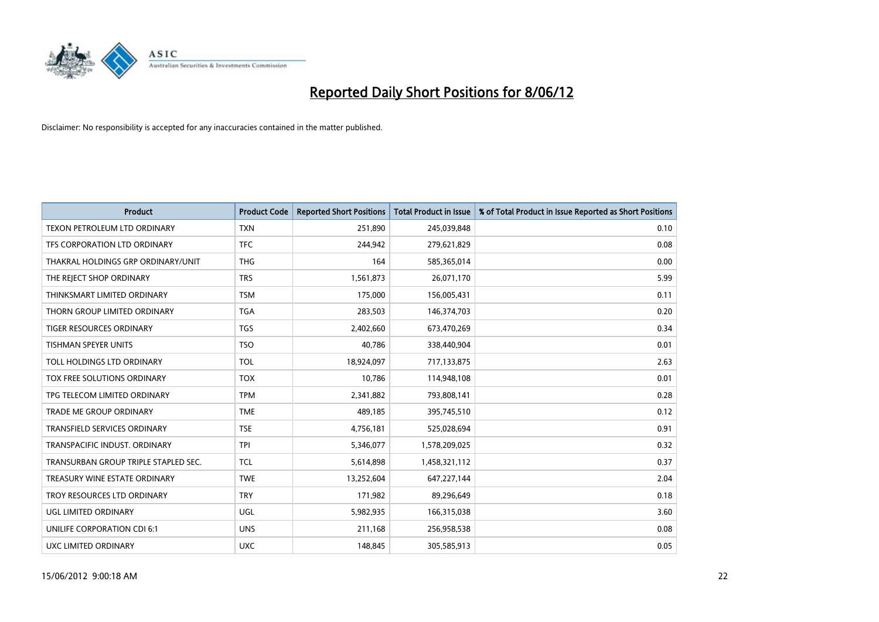

| <b>Product</b>                       | <b>Product Code</b> | <b>Reported Short Positions</b> | <b>Total Product in Issue</b> | % of Total Product in Issue Reported as Short Positions |
|--------------------------------------|---------------------|---------------------------------|-------------------------------|---------------------------------------------------------|
| TEXON PETROLEUM LTD ORDINARY         | <b>TXN</b>          | 251,890                         | 245,039,848                   | 0.10                                                    |
| TFS CORPORATION LTD ORDINARY         | <b>TFC</b>          | 244,942                         | 279,621,829                   | 0.08                                                    |
| THAKRAL HOLDINGS GRP ORDINARY/UNIT   | <b>THG</b>          | 164                             | 585,365,014                   | 0.00                                                    |
| THE REJECT SHOP ORDINARY             | <b>TRS</b>          | 1,561,873                       | 26,071,170                    | 5.99                                                    |
| THINKSMART LIMITED ORDINARY          | <b>TSM</b>          | 175,000                         | 156,005,431                   | 0.11                                                    |
| THORN GROUP LIMITED ORDINARY         | <b>TGA</b>          | 283,503                         | 146,374,703                   | 0.20                                                    |
| TIGER RESOURCES ORDINARY             | <b>TGS</b>          | 2,402,660                       | 673,470,269                   | 0.34                                                    |
| TISHMAN SPEYER UNITS                 | <b>TSO</b>          | 40,786                          | 338,440,904                   | 0.01                                                    |
| TOLL HOLDINGS LTD ORDINARY           | <b>TOL</b>          | 18,924,097                      | 717,133,875                   | 2.63                                                    |
| <b>TOX FREE SOLUTIONS ORDINARY</b>   | <b>TOX</b>          | 10,786                          | 114,948,108                   | 0.01                                                    |
| TPG TELECOM LIMITED ORDINARY         | <b>TPM</b>          | 2,341,882                       | 793,808,141                   | 0.28                                                    |
| <b>TRADE ME GROUP ORDINARY</b>       | <b>TME</b>          | 489,185                         | 395,745,510                   | 0.12                                                    |
| TRANSFIELD SERVICES ORDINARY         | <b>TSE</b>          | 4,756,181                       | 525,028,694                   | 0.91                                                    |
| TRANSPACIFIC INDUST, ORDINARY        | <b>TPI</b>          | 5,346,077                       | 1,578,209,025                 | 0.32                                                    |
| TRANSURBAN GROUP TRIPLE STAPLED SEC. | <b>TCL</b>          | 5,614,898                       | 1,458,321,112                 | 0.37                                                    |
| TREASURY WINE ESTATE ORDINARY        | <b>TWE</b>          | 13,252,604                      | 647,227,144                   | 2.04                                                    |
| TROY RESOURCES LTD ORDINARY          | <b>TRY</b>          | 171,982                         | 89,296,649                    | 0.18                                                    |
| UGL LIMITED ORDINARY                 | <b>UGL</b>          | 5,982,935                       | 166,315,038                   | 3.60                                                    |
| UNILIFE CORPORATION CDI 6:1          | <b>UNS</b>          | 211,168                         | 256,958,538                   | 0.08                                                    |
| <b>UXC LIMITED ORDINARY</b>          | <b>UXC</b>          | 148,845                         | 305,585,913                   | 0.05                                                    |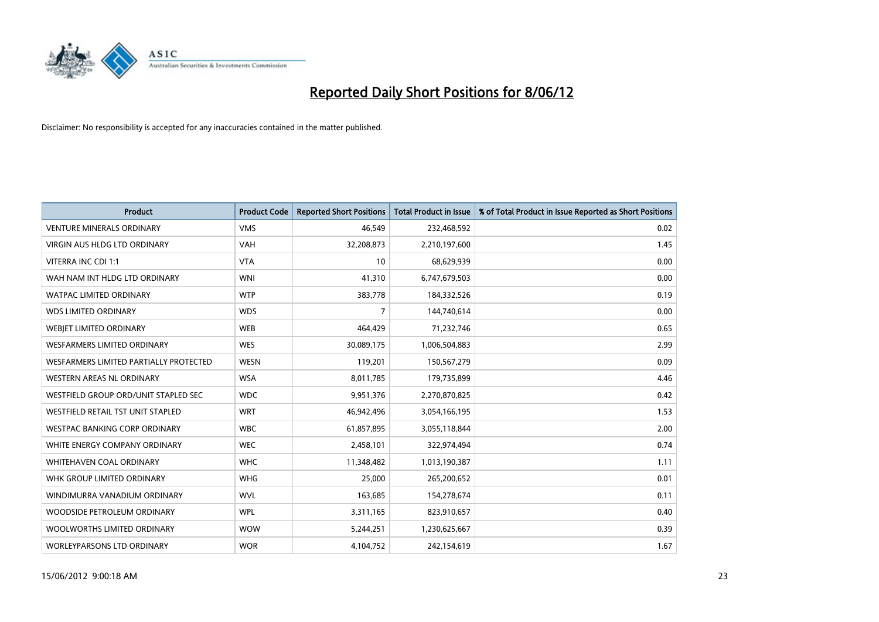

| <b>Product</b>                         | <b>Product Code</b> | <b>Reported Short Positions</b> | <b>Total Product in Issue</b> | % of Total Product in Issue Reported as Short Positions |
|----------------------------------------|---------------------|---------------------------------|-------------------------------|---------------------------------------------------------|
| <b>VENTURE MINERALS ORDINARY</b>       | <b>VMS</b>          | 46,549                          | 232,468,592                   | 0.02                                                    |
| VIRGIN AUS HLDG LTD ORDINARY           | <b>VAH</b>          | 32,208,873                      | 2,210,197,600                 | 1.45                                                    |
| VITERRA INC CDI 1:1                    | <b>VTA</b>          | 10                              | 68,629,939                    | 0.00                                                    |
| WAH NAM INT HLDG LTD ORDINARY          | <b>WNI</b>          | 41,310                          | 6,747,679,503                 | 0.00                                                    |
| <b>WATPAC LIMITED ORDINARY</b>         | <b>WTP</b>          | 383,778                         | 184,332,526                   | 0.19                                                    |
| <b>WDS LIMITED ORDINARY</b>            | <b>WDS</b>          | $\overline{7}$                  | 144,740,614                   | 0.00                                                    |
| <b>WEBIET LIMITED ORDINARY</b>         | <b>WEB</b>          | 464,429                         | 71,232,746                    | 0.65                                                    |
| <b>WESFARMERS LIMITED ORDINARY</b>     | <b>WES</b>          | 30,089,175                      | 1,006,504,883                 | 2.99                                                    |
| WESFARMERS LIMITED PARTIALLY PROTECTED | <b>WESN</b>         | 119,201                         | 150,567,279                   | 0.09                                                    |
| WESTERN AREAS NL ORDINARY              | <b>WSA</b>          | 8,011,785                       | 179,735,899                   | 4.46                                                    |
| WESTFIELD GROUP ORD/UNIT STAPLED SEC   | <b>WDC</b>          | 9,951,376                       | 2,270,870,825                 | 0.42                                                    |
| WESTFIELD RETAIL TST UNIT STAPLED      | <b>WRT</b>          | 46,942,496                      | 3,054,166,195                 | 1.53                                                    |
| WESTPAC BANKING CORP ORDINARY          | <b>WBC</b>          | 61,857,895                      | 3,055,118,844                 | 2.00                                                    |
| WHITE ENERGY COMPANY ORDINARY          | <b>WEC</b>          | 2,458,101                       | 322,974,494                   | 0.74                                                    |
| WHITEHAVEN COAL ORDINARY               | <b>WHC</b>          | 11,348,482                      | 1,013,190,387                 | 1.11                                                    |
| WHK GROUP LIMITED ORDINARY             | <b>WHG</b>          | 25,000                          | 265,200,652                   | 0.01                                                    |
| WINDIMURRA VANADIUM ORDINARY           | <b>WVL</b>          | 163,685                         | 154,278,674                   | 0.11                                                    |
| WOODSIDE PETROLEUM ORDINARY            | <b>WPL</b>          | 3,311,165                       | 823,910,657                   | 0.40                                                    |
| WOOLWORTHS LIMITED ORDINARY            | <b>WOW</b>          | 5,244,251                       | 1,230,625,667                 | 0.39                                                    |
| WORLEYPARSONS LTD ORDINARY             | <b>WOR</b>          | 4,104,752                       | 242,154,619                   | 1.67                                                    |